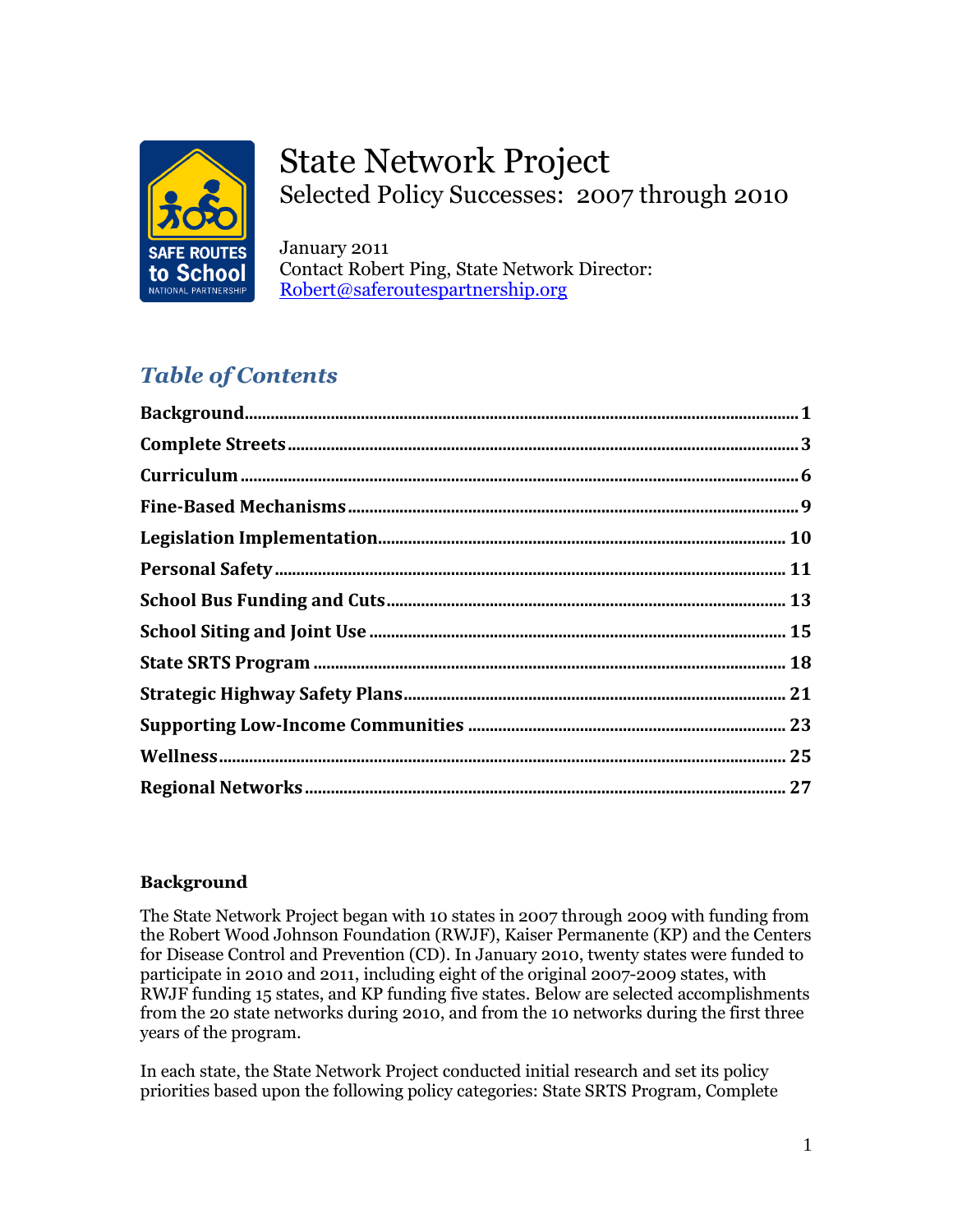

# State Network Project Selected Policy Successes: 2007 through 2010

January 2011 Contact Robert Ping, State Network Director: [Robert@saferoutespartnership.org](mailto:Robert@saferoutespartnership.org)

# *Table of Contents*

| ${\bf Background.}.\hspace*{25pt} \textbf{Background.}.\hspace*{25pt} \textbf{1}$ |  |
|-----------------------------------------------------------------------------------|--|
|                                                                                   |  |
|                                                                                   |  |
|                                                                                   |  |
|                                                                                   |  |
|                                                                                   |  |
|                                                                                   |  |
|                                                                                   |  |
|                                                                                   |  |
|                                                                                   |  |
|                                                                                   |  |
|                                                                                   |  |
|                                                                                   |  |

# **Background**

The State Network Project began with 10 states in 2007 through 2009 with funding from the Robert Wood Johnson Foundation (RWJF), Kaiser Permanente (KP) and the Centers for Disease Control and Prevention (CD). In January 2010, twenty states were funded to participate in 2010 and 2011, including eight of the original 2007-2009 states, with RWJF funding 15 states, and KP funding five states. Below are selected accomplishments from the 20 state networks during 2010, and from the 10 networks during the first three years of the program.

In each state, the State Network Project conducted initial research and set its policy priorities based upon the following policy categories: State SRTS Program, Complete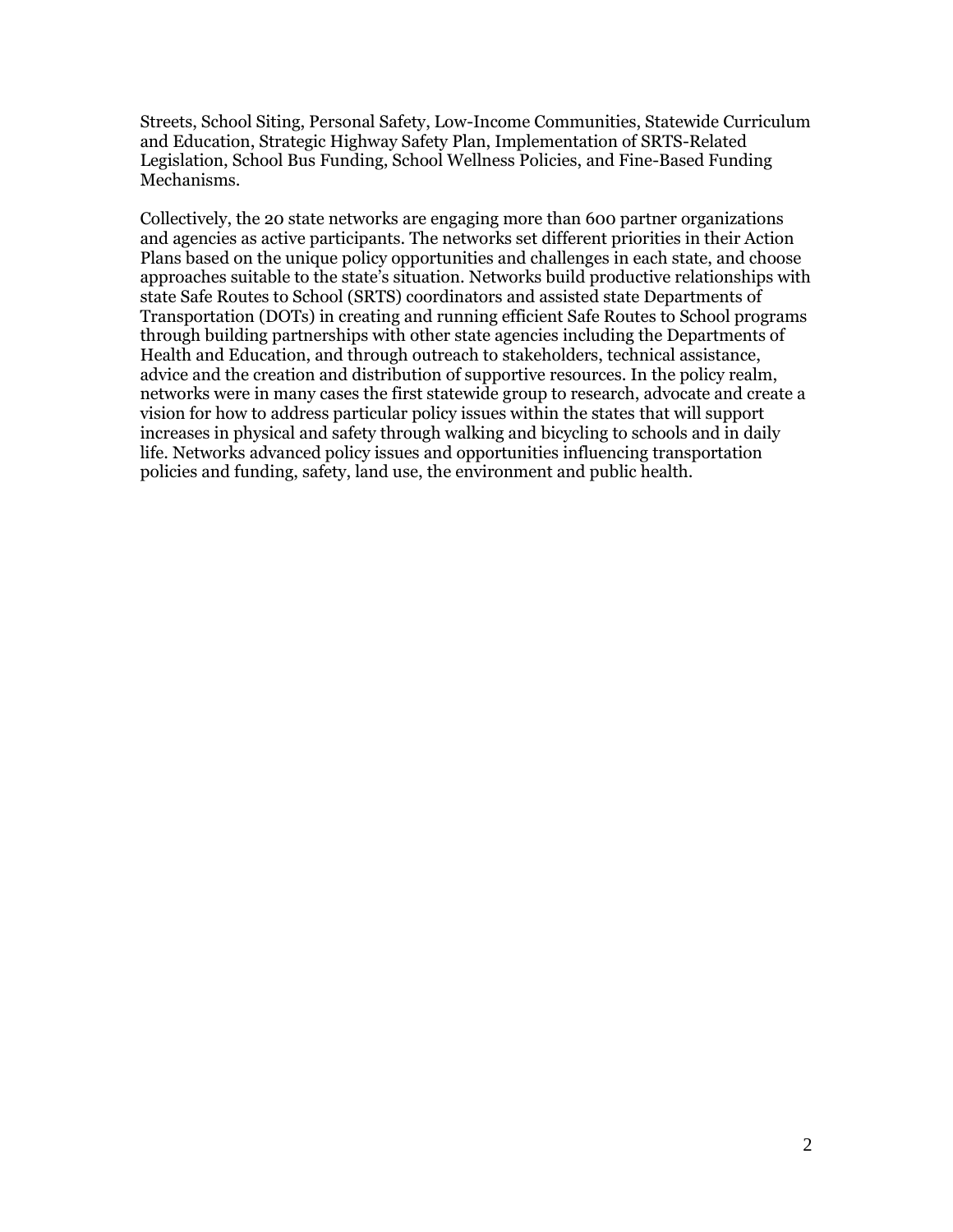Streets, School Siting, Personal Safety, Low-Income Communities, Statewide Curriculum and Education, Strategic Highway Safety Plan, Implementation of SRTS-Related Legislation, School Bus Funding, School Wellness Policies, and Fine-Based Funding Mechanisms.

Collectively, the 20 state networks are engaging more than 600 partner organizations and agencies as active participants. The networks set different priorities in their Action Plans based on the unique policy opportunities and challenges in each state, and choose approaches suitable to the state"s situation. Networks build productive relationships with state Safe Routes to School (SRTS) coordinators and assisted state Departments of Transportation (DOTs) in creating and running efficient Safe Routes to School programs through building partnerships with other state agencies including the Departments of Health and Education, and through outreach to stakeholders, technical assistance, advice and the creation and distribution of supportive resources. In the policy realm, networks were in many cases the first statewide group to research, advocate and create a vision for how to address particular policy issues within the states that will support increases in physical and safety through walking and bicycling to schools and in daily life. Networks advanced policy issues and opportunities influencing transportation policies and funding, safety, land use, the environment and public health.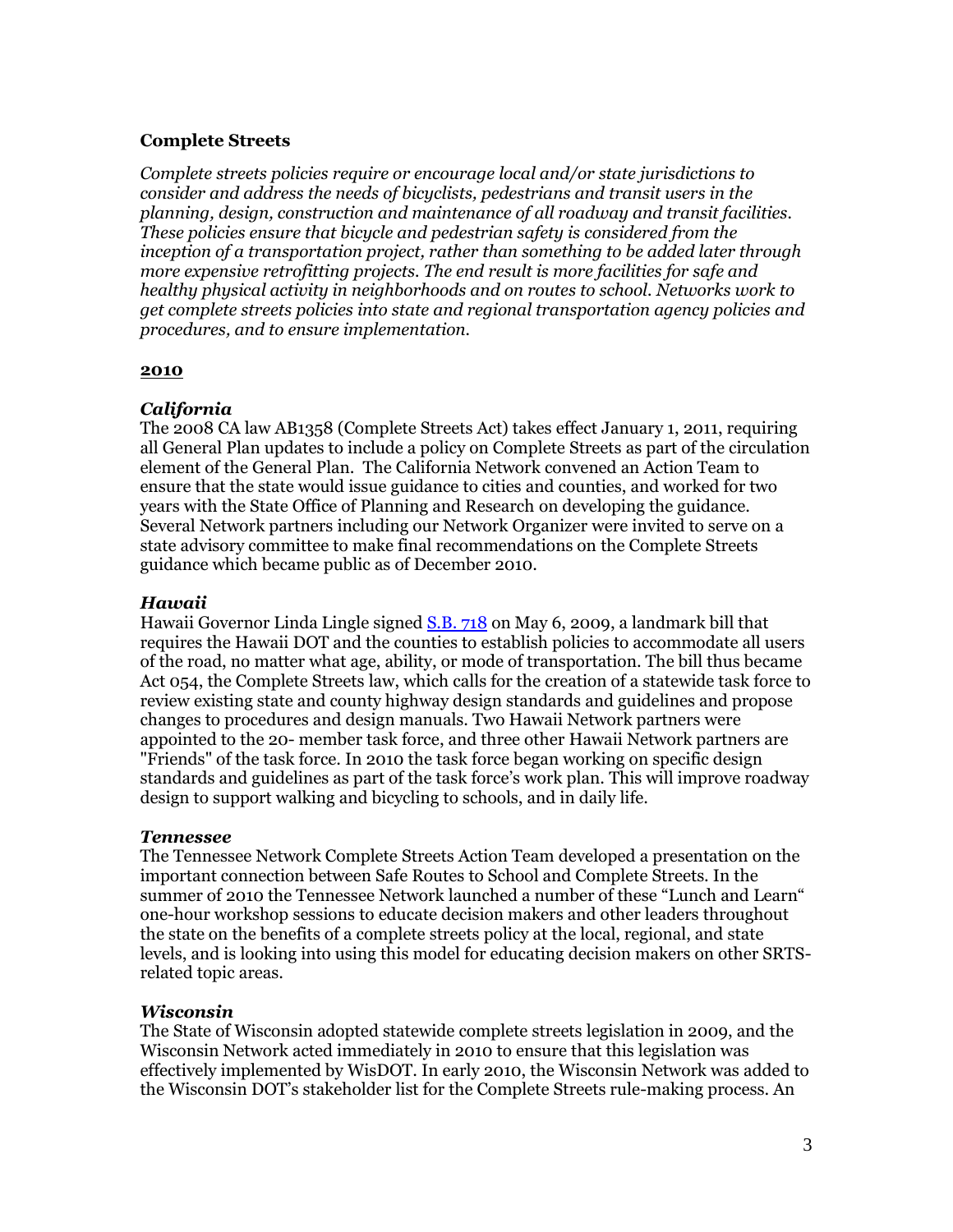# **Complete Streets**

*Complete streets policies require or encourage local and/or state jurisdictions to consider and address the needs of bicyclists, pedestrians and transit users in the planning, design, construction and maintenance of all roadway and transit facilities. These policies ensure that bicycle and pedestrian safety is considered from the inception of a transportation project, rather than something to be added later through more expensive retrofitting projects. The end result is more facilities for safe and healthy physical activity in neighborhoods and on routes to school. Networks work to get complete streets policies into state and regional transportation agency policies and procedures, and to ensure implementation.*

# **2010**

# *California*

The 2008 CA law AB1358 (Complete Streets Act) takes effect January 1, 2011, requiring all General Plan updates to include a policy on Complete Streets as part of the circulation element of the General Plan. The California Network convened an Action Team to ensure that the state would issue guidance to cities and counties, and worked for two years with the State Office of Planning and Research on developing the guidance. Several Network partners including our Network Organizer were invited to serve on a state advisory committee to make final recommendations on the Complete Streets guidance which became public as of December 2010.

# *Hawaii*

Hawaii Governor Linda Lingle signed [S.B. 718](http://www.google.com/url?q=http%3A%2F%2Fwww.capitol.hawaii.gov%2Fsession2009%2Flists%2Fmeasure_indiv.aspx%3Fbilltype%3DSB%26billnumber%3D718&sa=D&sntz=1&usg=AFQjCNECBfN2ANwkz0a9fLi661R7YnaPqg) on May 6, 2009, a landmark bill that requires the Hawaii DOT and the counties to establish policies to accommodate all users of the road, no matter what age, ability, or mode of transportation. The bill thus became Act 054, the Complete Streets law, which calls for the creation of a statewide task force to review existing state and county highway design standards and guidelines and propose changes to procedures and design manuals. Two Hawaii Network partners were appointed to the 20- member task force, and three other Hawaii Network partners are "Friends" of the task force. In 2010 the task force began working on specific design standards and guidelines as part of the task force"s work plan. This will improve roadway design to support walking and bicycling to schools, and in daily life.

# *Tennessee*

The Tennessee Network Complete Streets Action Team developed a presentation on the important connection between Safe Routes to School and Complete Streets. In the summer of 2010 the Tennessee Network launched a number of these "Lunch and Learn" one-hour workshop sessions to educate decision makers and other leaders throughout the state on the benefits of a complete streets policy at the local, regional, and state levels, and is looking into using this model for educating decision makers on other SRTSrelated topic areas.

# *Wisconsin*

The State of Wisconsin adopted statewide complete streets legislation in 2009, and the Wisconsin Network acted immediately in 2010 to ensure that this legislation was effectively implemented by WisDOT. In early 2010, the Wisconsin Network was added to the Wisconsin DOT"s stakeholder list for the Complete Streets rule-making process. An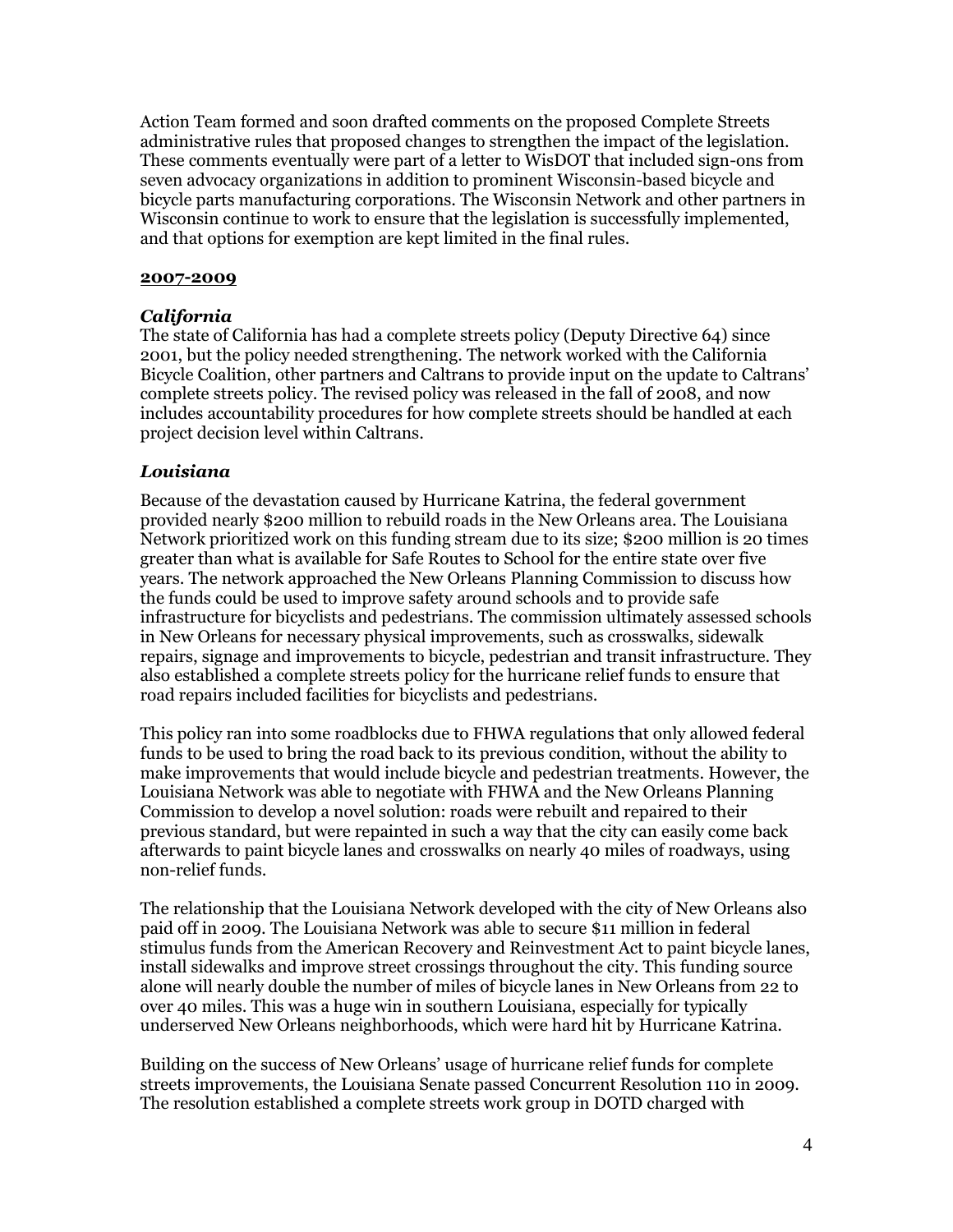Action Team formed and soon drafted comments on the proposed Complete Streets administrative rules that proposed changes to strengthen the impact of the legislation. These comments eventually were part of a letter to WisDOT that included sign-ons from seven advocacy organizations in addition to prominent Wisconsin-based bicycle and bicycle parts manufacturing corporations. The Wisconsin Network and other partners in Wisconsin continue to work to ensure that the legislation is successfully implemented, and that options for exemption are kept limited in the final rules.

### **2007-2009**

# *California*

The state of California has had a complete streets policy (Deputy Directive 64) since 2001, but the policy needed strengthening. The network worked with the California Bicycle Coalition, other partners and Caltrans to provide input on the update to Caltrans" complete streets policy. The revised policy was released in the fall of 2008, and now includes accountability procedures for how complete streets should be handled at each project decision level within Caltrans.

# *Louisiana*

Because of the devastation caused by Hurricane Katrina, the federal government provided nearly \$200 million to rebuild roads in the New Orleans area. The Louisiana Network prioritized work on this funding stream due to its size; \$200 million is 20 times greater than what is available for Safe Routes to School for the entire state over five years. The network approached the New Orleans Planning Commission to discuss how the funds could be used to improve safety around schools and to provide safe infrastructure for bicyclists and pedestrians. The commission ultimately assessed schools in New Orleans for necessary physical improvements, such as crosswalks, sidewalk repairs, signage and improvements to bicycle, pedestrian and transit infrastructure. They also established a complete streets policy for the hurricane relief funds to ensure that road repairs included facilities for bicyclists and pedestrians.

This policy ran into some roadblocks due to FHWA regulations that only allowed federal funds to be used to bring the road back to its previous condition, without the ability to make improvements that would include bicycle and pedestrian treatments. However, the Louisiana Network was able to negotiate with FHWA and the New Orleans Planning Commission to develop a novel solution: roads were rebuilt and repaired to their previous standard, but were repainted in such a way that the city can easily come back afterwards to paint bicycle lanes and crosswalks on nearly 40 miles of roadways, using non-relief funds.

The relationship that the Louisiana Network developed with the city of New Orleans also paid off in 2009. The Louisiana Network was able to secure \$11 million in federal stimulus funds from the American Recovery and Reinvestment Act to paint bicycle lanes, install sidewalks and improve street crossings throughout the city. This funding source alone will nearly double the number of miles of bicycle lanes in New Orleans from 22 to over 40 miles. This was a huge win in southern Louisiana, especially for typically underserved New Orleans neighborhoods, which were hard hit by Hurricane Katrina.

Building on the success of New Orleans" usage of hurricane relief funds for complete streets improvements, the Louisiana Senate passed Concurrent Resolution 110 in 2009. The resolution established a complete streets work group in DOTD charged with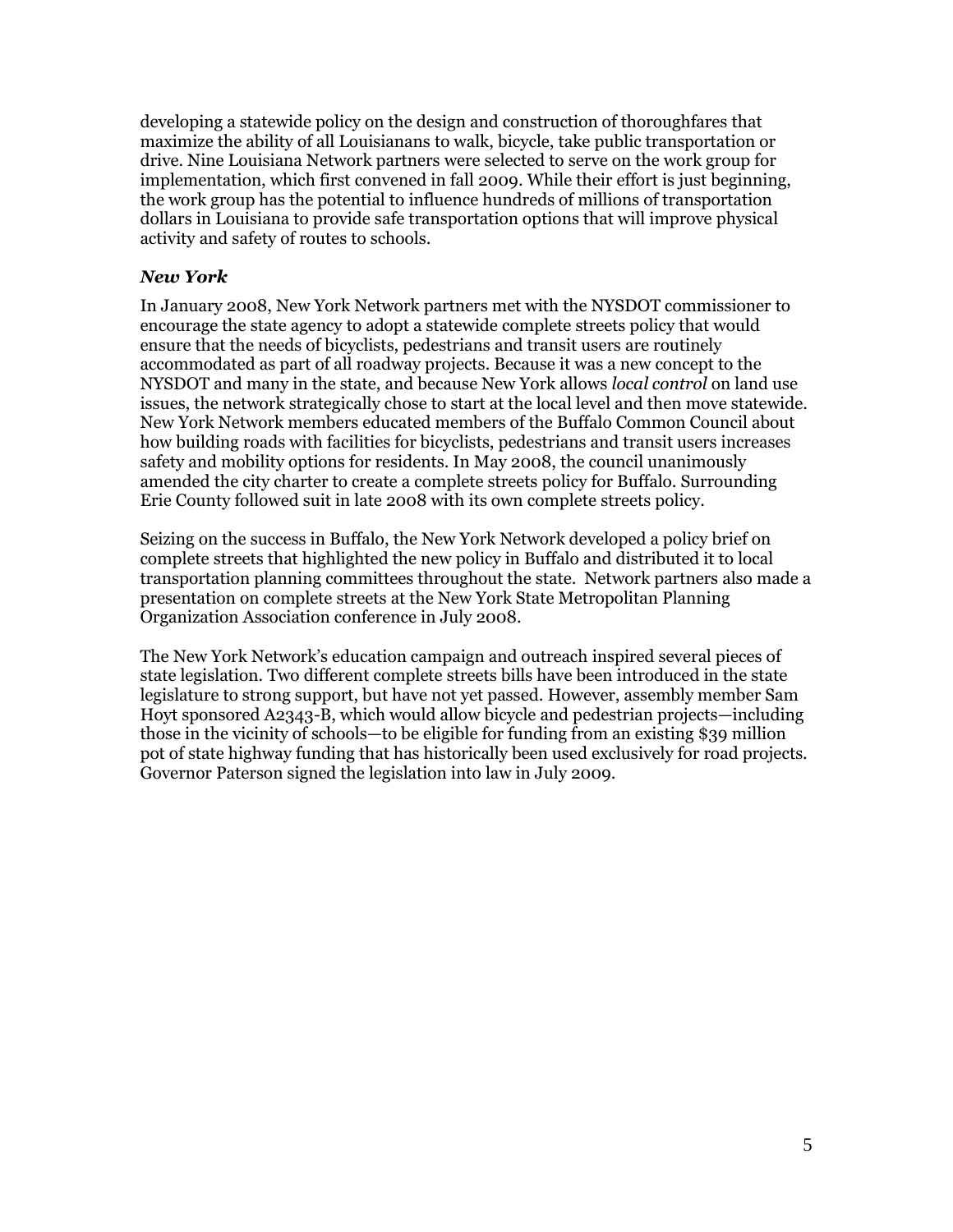developing a statewide policy on the design and construction of thoroughfares that maximize the ability of all Louisianans to walk, bicycle, take public transportation or drive. Nine Louisiana Network partners were selected to serve on the work group for implementation, which first convened in fall 2009. While their effort is just beginning, the work group has the potential to influence hundreds of millions of transportation dollars in Louisiana to provide safe transportation options that will improve physical activity and safety of routes to schools.

# *New York*

In January 2008, New York Network partners met with the NYSDOT commissioner to encourage the state agency to adopt a statewide complete streets policy that would ensure that the needs of bicyclists, pedestrians and transit users are routinely accommodated as part of all roadway projects. Because it was a new concept to the NYSDOT and many in the state, and because New York allows *local control* on land use issues, the network strategically chose to start at the local level and then move statewide. New York Network members educated members of the Buffalo Common Council about how building roads with facilities for bicyclists, pedestrians and transit users increases safety and mobility options for residents. In May 2008, the council unanimously amended the city charter to create a complete streets policy for Buffalo. Surrounding Erie County followed suit in late 2008 with its own complete streets policy.

Seizing on the success in Buffalo, the New York Network developed a policy brief on complete streets that highlighted the new policy in Buffalo and distributed it to local transportation planning committees throughout the state. Network partners also made a presentation on complete streets at the New York State Metropolitan Planning Organization Association conference in July 2008.

The New York Network"s education campaign and outreach inspired several pieces of state legislation. Two different complete streets bills have been introduced in the state legislature to strong support, but have not yet passed. However, assembly member Sam Hoyt sponsored A2343-B, which would allow bicycle and pedestrian projects—including those in the vicinity of schools—to be eligible for funding from an existing \$39 million pot of state highway funding that has historically been used exclusively for road projects. Governor Paterson signed the legislation into law in July 2009.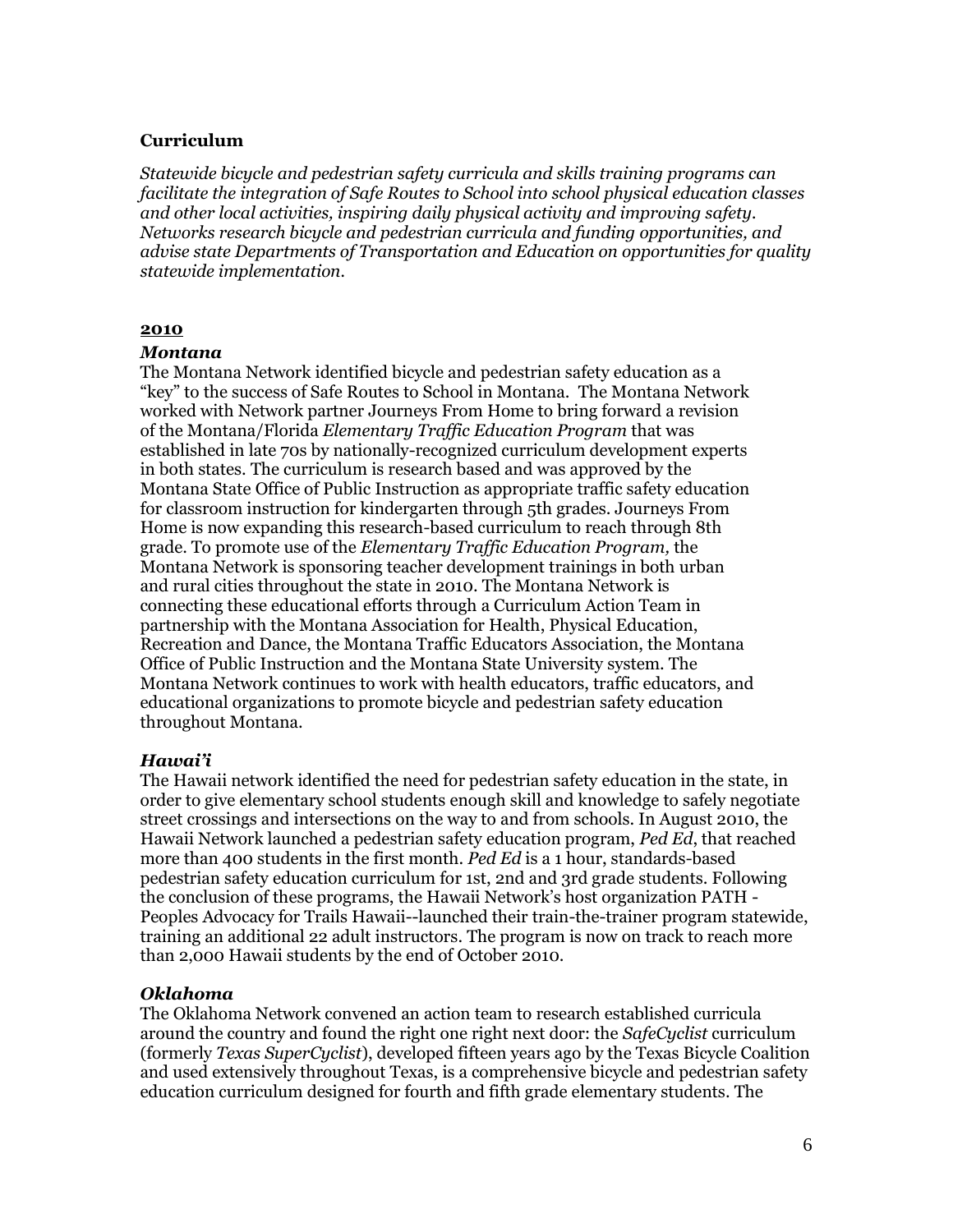### **Curriculum**

*Statewide bicycle and pedestrian safety curricula and skills training programs can facilitate the integration of Safe Routes to School into school physical education classes and other local activities, inspiring daily physical activity and improving safety. Networks research bicycle and pedestrian curricula and funding opportunities, and advise state Departments of Transportation and Education on opportunities for quality statewide implementation.*

#### **2010**

#### *Montana*

The Montana Network identified bicycle and pedestrian safety education as a "key" to the success of Safe Routes to School in Montana. The Montana Network worked with Network partner Journeys From Home to bring forward a revision of the Montana/Florida *Elementary Traffic Education Program* that was established in late 70s by nationally-recognized curriculum development experts in both states. The curriculum is research based and was approved by the Montana State Office of Public Instruction as appropriate traffic safety education for classroom instruction for kindergarten through 5th grades. Journeys From Home is now expanding this research-based curriculum to reach through 8th grade. To promote use of the *Elementary Traffic Education Program,* the Montana Network is sponsoring teacher development trainings in both urban and rural cities throughout the state in 2010. The Montana Network is connecting these educational efforts through a Curriculum Action Team in partnership with the Montana Association for Health, Physical Education, Recreation and Dance, the Montana Traffic Educators Association, the Montana Office of Public Instruction and the Montana State University system. The Montana Network continues to work with health educators, traffic educators, and educational organizations to promote bicycle and pedestrian safety education throughout Montana.

### *Hawai'i*

The Hawaii network identified the need for pedestrian safety education in the state, in order to give elementary school students enough skill and knowledge to safely negotiate street crossings and intersections on the way to and from schools. In August 2010, the Hawaii Network launched a pedestrian safety education program, *Ped Ed*, that reached more than 400 students in the first month. *Ped Ed* is a 1 hour, standards-based pedestrian safety education curriculum for 1st, 2nd and 3rd grade students. Following the conclusion of these programs, the Hawaii Network's host organization PATH -Peoples Advocacy for Trails Hawaii--launched their train-the-trainer program statewide, training an additional 22 adult instructors. The program is now on track to reach more than 2,000 Hawaii students by the end of October 2010.

### *Oklahoma*

The Oklahoma Network convened an action team to research established curricula around the country and found the right one right next door: the *SafeCyclist* curriculum (formerly *Texas SuperCyclist*), developed fifteen years ago by the Texas Bicycle Coalition and used extensively throughout Texas, is a comprehensive bicycle and pedestrian safety education curriculum designed for fourth and fifth grade elementary students. The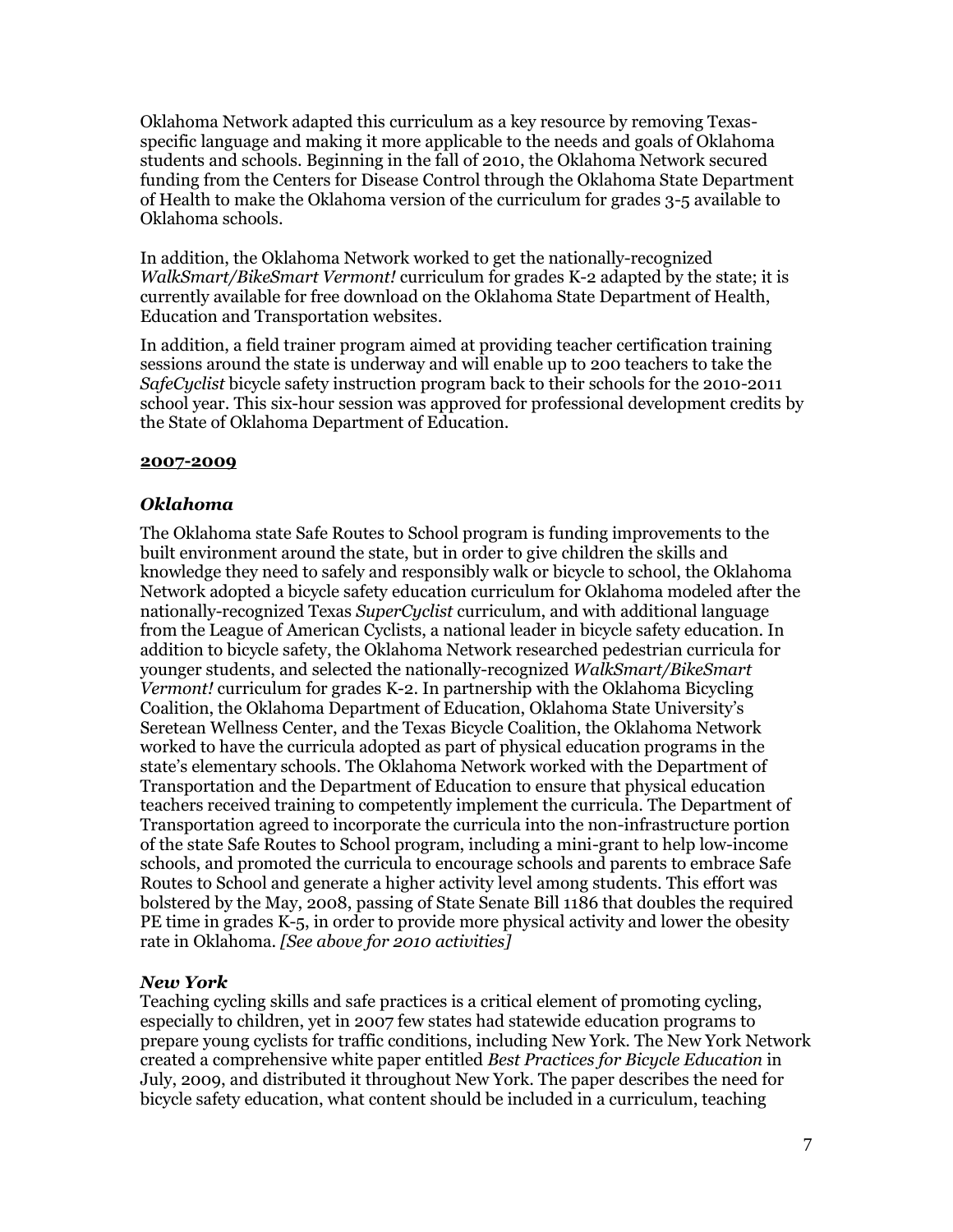Oklahoma Network adapted this curriculum as a key resource by removing Texasspecific language and making it more applicable to the needs and goals of Oklahoma students and schools. Beginning in the fall of 2010, the Oklahoma Network secured funding from the Centers for Disease Control through the Oklahoma State Department of Health to make the Oklahoma version of the curriculum for grades 3-5 available to Oklahoma schools.

In addition, the Oklahoma Network worked to get the nationally-recognized *WalkSmart/BikeSmart Vermont!* curriculum for grades K-2 adapted by the state; it is currently available for free download on the Oklahoma State Department of Health, Education and Transportation websites.

In addition, a field trainer program aimed at providing teacher certification training sessions around the state is underway and will enable up to 200 teachers to take the *SafeCyclist* bicycle safety instruction program back to their schools for the 2010-2011 school year. This six-hour session was approved for professional development credits by the State of Oklahoma Department of Education.

### **2007-2009**

# *Oklahoma*

The Oklahoma state Safe Routes to School program is funding improvements to the built environment around the state, but in order to give children the skills and knowledge they need to safely and responsibly walk or bicycle to school, the Oklahoma Network adopted a bicycle safety education curriculum for Oklahoma modeled after the nationally-recognized Texas *SuperCyclist* curriculum, and with additional language from the League of American Cyclists, a national leader in bicycle safety education. In addition to bicycle safety, the Oklahoma Network researched pedestrian curricula for younger students, and selected the nationally-recognized *WalkSmart/BikeSmart Vermont!* curriculum for grades K-2. In partnership with the Oklahoma Bicycling Coalition, the Oklahoma Department of Education, Oklahoma State University"s Seretean Wellness Center, and the Texas Bicycle Coalition, the Oklahoma Network worked to have the curricula adopted as part of physical education programs in the state"s elementary schools. The Oklahoma Network worked with the Department of Transportation and the Department of Education to ensure that physical education teachers received training to competently implement the curricula. The Department of Transportation agreed to incorporate the curricula into the non-infrastructure portion of the state Safe Routes to School program, including a mini-grant to help low-income schools, and promoted the curricula to encourage schools and parents to embrace Safe Routes to School and generate a higher activity level among students. This effort was bolstered by the May, 2008, passing of State Senate Bill 1186 that doubles the required PE time in grades K-5, in order to provide more physical activity and lower the obesity rate in Oklahoma. *[See above for 2010 activities]*

# *New York*

Teaching cycling skills and safe practices is a critical element of promoting cycling, especially to children, yet in 2007 few states had statewide education programs to prepare young cyclists for traffic conditions, including New York. The New York Network created a comprehensive white paper entitled *Best Practices for Bicycle Education* in July, 2009, and distributed it throughout New York. The paper describes the need for bicycle safety education, what content should be included in a curriculum, teaching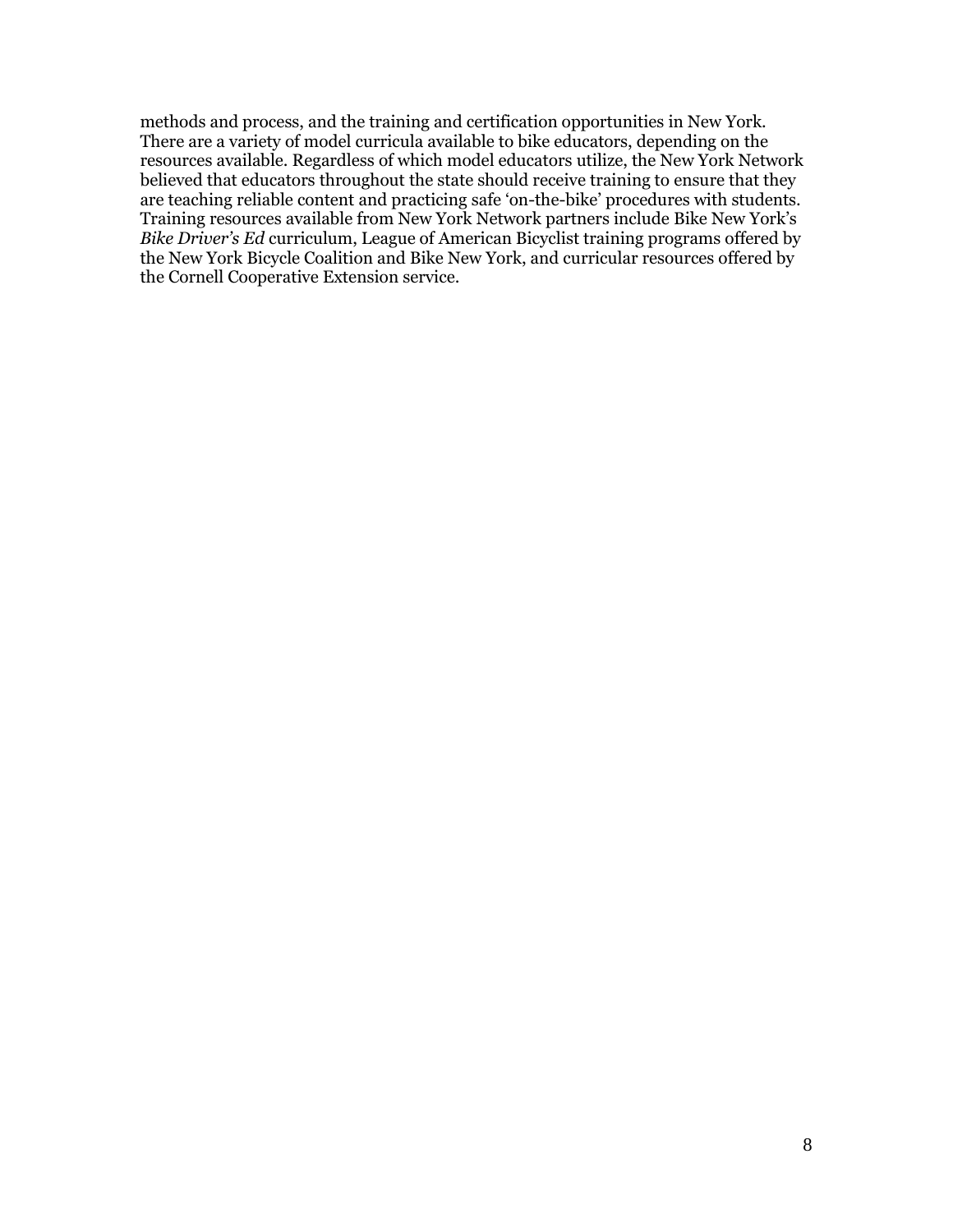methods and process, and the training and certification opportunities in New York. There are a variety of model curricula available to bike educators, depending on the resources available. Regardless of which model educators utilize, the New York Network believed that educators throughout the state should receive training to ensure that they are teaching reliable content and practicing safe "on-the-bike" procedures with students. Training resources available from New York Network partners include Bike New York"s *Bike Driver's Ed* curriculum, League of American Bicyclist training programs offered by the New York Bicycle Coalition and Bike New York, and curricular resources offered by the Cornell Cooperative Extension service.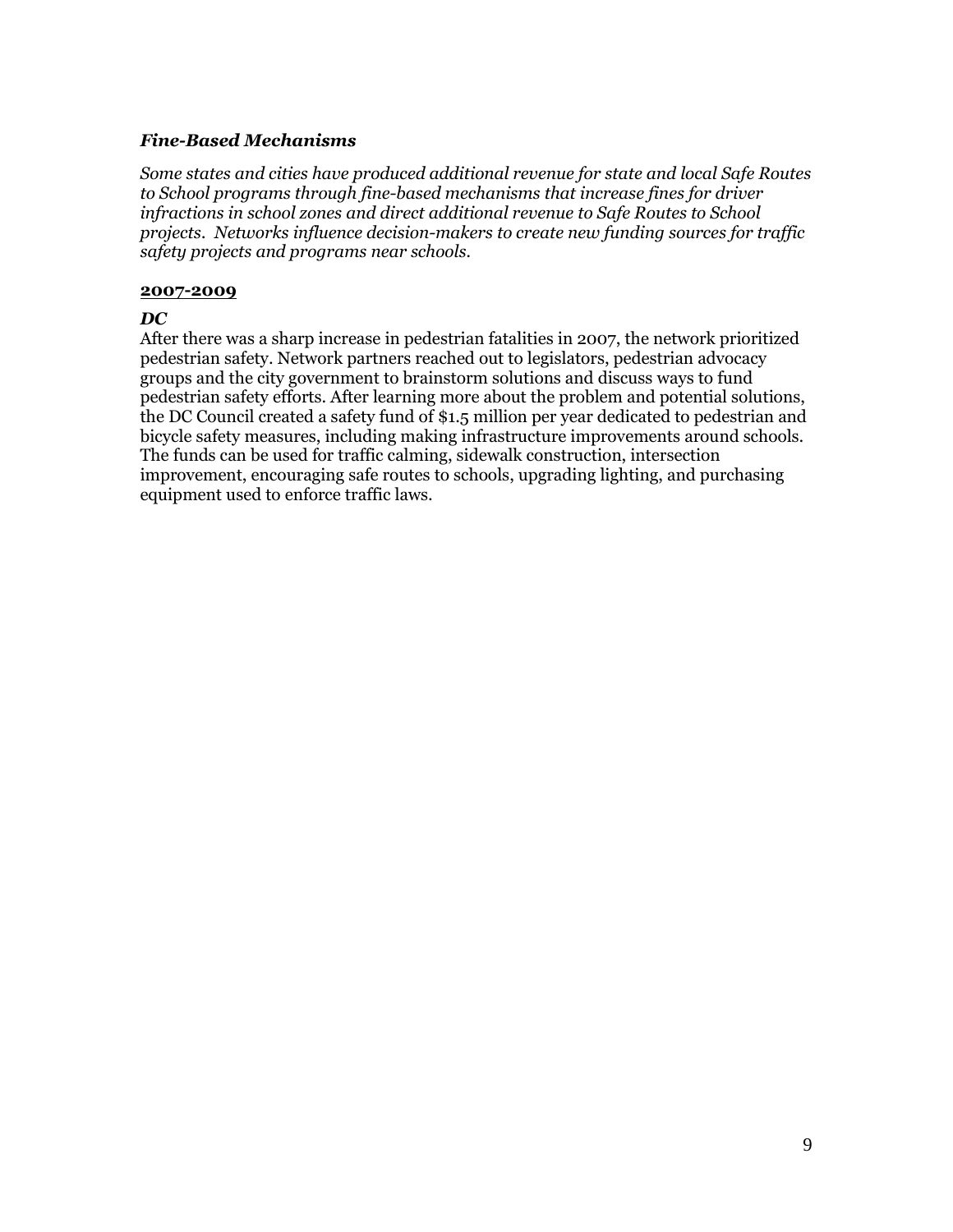### *Fine-Based Mechanisms*

*Some states and cities have produced additional revenue for state and local Safe Routes to School programs through fine-based mechanisms that increase fines for driver infractions in school zones and direct additional revenue to Safe Routes to School projects. Networks influence decision-makers to create new funding sources for traffic safety projects and programs near schools.*

### **2007-2009**

### *DC*

After there was a sharp increase in pedestrian fatalities in 2007, the network prioritized pedestrian safety. Network partners reached out to legislators, pedestrian advocacy groups and the city government to brainstorm solutions and discuss ways to fund pedestrian safety efforts. After learning more about the problem and potential solutions, the DC Council created a safety fund of \$1.5 million per year dedicated to pedestrian and bicycle safety measures, including making infrastructure improvements around schools. The funds can be used for traffic calming, sidewalk construction, intersection improvement, encouraging safe routes to schools, upgrading lighting, and purchasing equipment used to enforce traffic laws.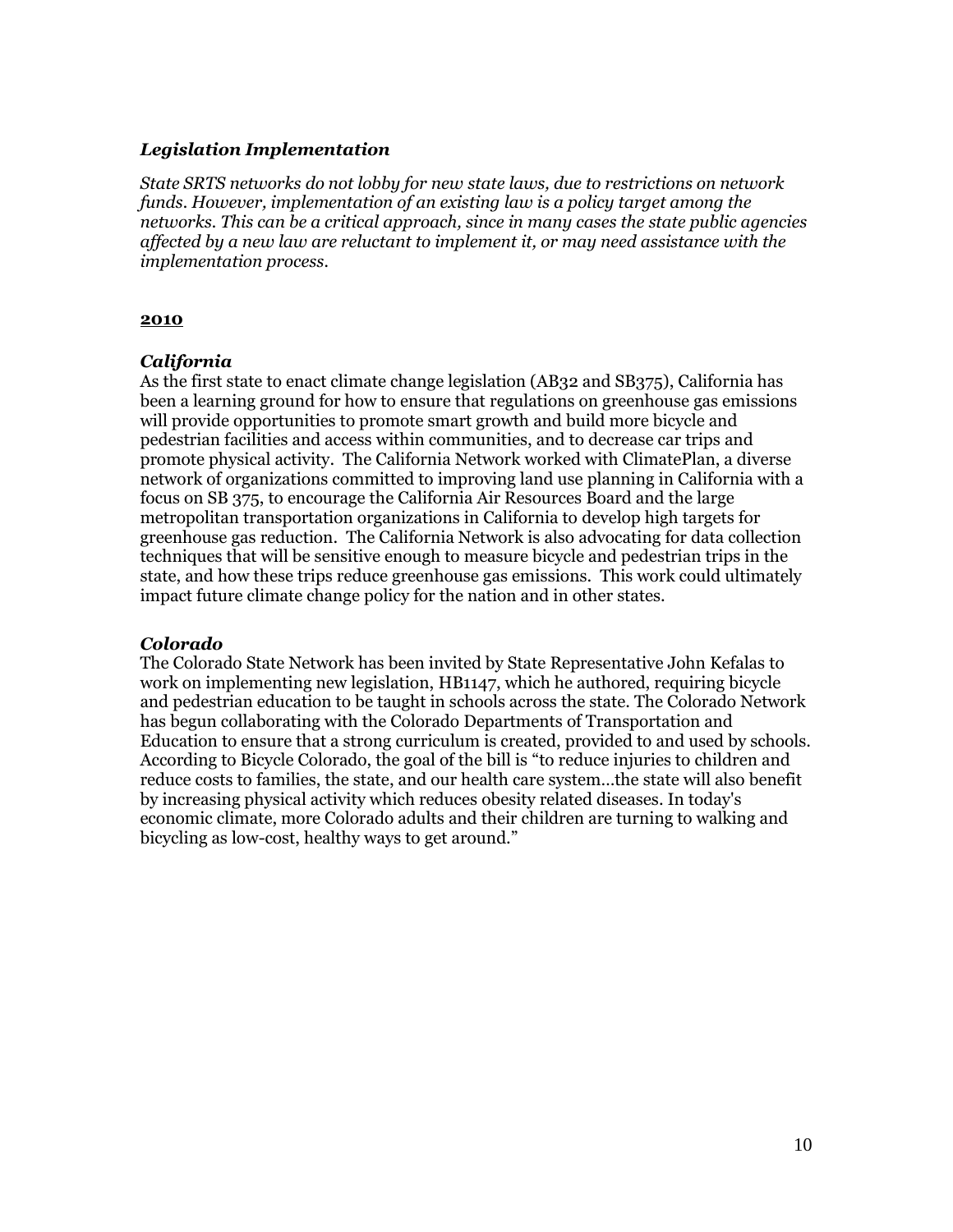# *Legislation Implementation*

*State SRTS networks do not lobby for new state laws, due to restrictions on network funds. However, implementation of an existing law is a policy target among the networks. This can be a critical approach, since in many cases the state public agencies affected by a new law are reluctant to implement it, or may need assistance with the implementation process.*

### **2010**

# *California*

As the first state to enact climate change legislation (AB32 and SB375), California has been a learning ground for how to ensure that regulations on greenhouse gas emissions will provide opportunities to promote smart growth and build more bicycle and pedestrian facilities and access within communities, and to decrease car trips and promote physical activity. The California Network worked with ClimatePlan, a diverse network of organizations committed to improving land use planning in California with a focus on SB 375, to encourage the California Air Resources Board and the large metropolitan transportation organizations in California to develop high targets for greenhouse gas reduction. The California Network is also advocating for data collection techniques that will be sensitive enough to measure bicycle and pedestrian trips in the state, and how these trips reduce greenhouse gas emissions. This work could ultimately impact future climate change policy for the nation and in other states.

# *Colorado*

The Colorado State Network has been invited by State Representative John Kefalas to work on implementing new legislation, HB1147, which he authored, requiring bicycle and pedestrian education to be taught in schools across the state. The Colorado Network has begun collaborating with the Colorado Departments of Transportation and Education to ensure that a strong curriculum is created, provided to and used by schools. According to Bicycle Colorado, the goal of the bill is "to reduce injuries to children and reduce costs to families, the state, and our health care system…the state will also benefit by increasing physical activity which reduces obesity related diseases. In today's economic climate, more Colorado adults and their children are turning to walking and bicycling as low-cost, healthy ways to get around."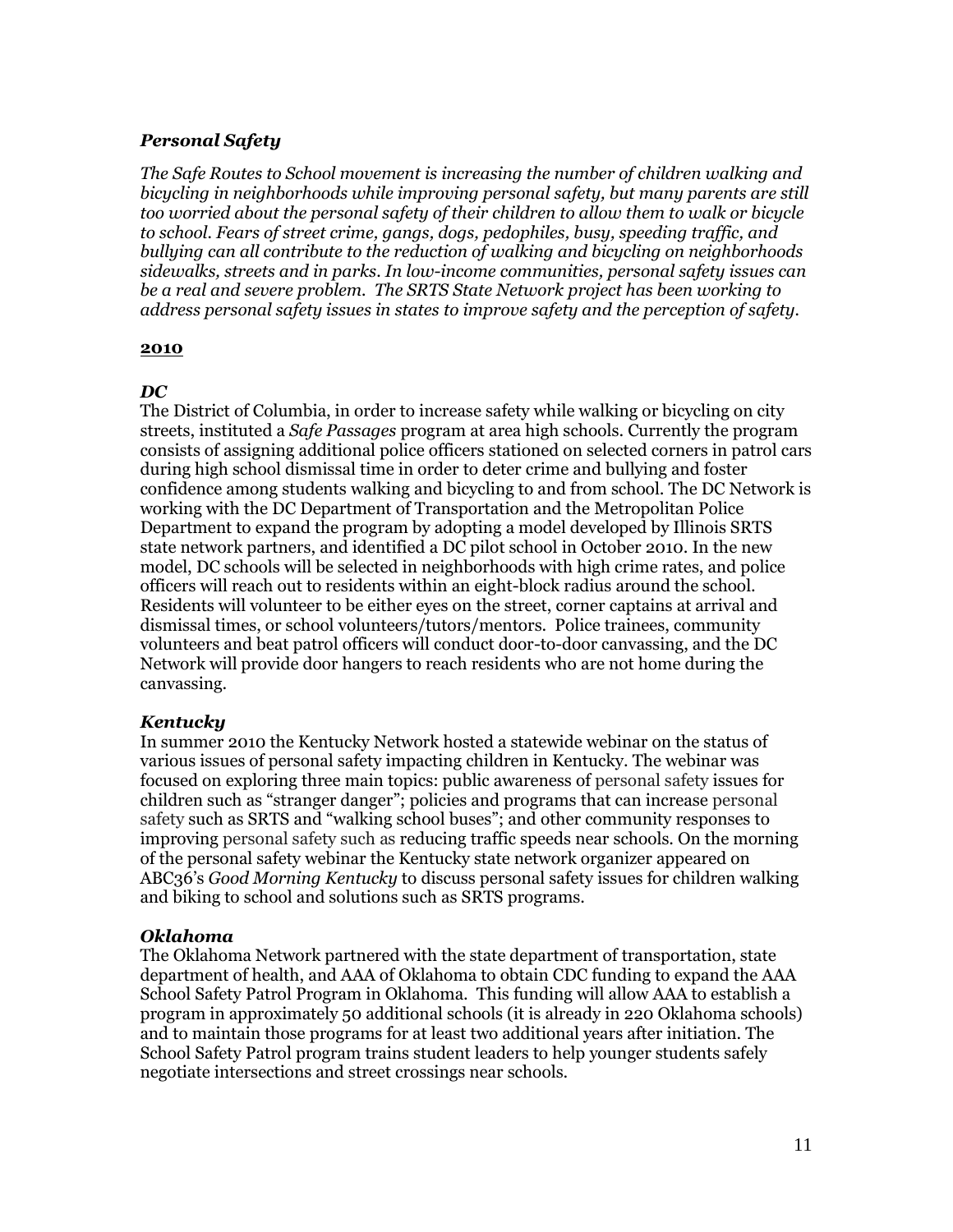# *Personal Safety*

*The Safe Routes to School movement is increasing the number of children walking and bicycling in neighborhoods while improving personal safety, but many parents are still too worried about the personal safety of their children to allow them to walk or bicycle to school. Fears of street crime, gangs, dogs, pedophiles, busy, speeding traffic, and bullying can all contribute to the reduction of walking and bicycling on neighborhoods sidewalks, streets and in parks. In low-income communities, personal safety issues can be a real and severe problem. The SRTS State Network project has been working to address personal safety issues in states to improve safety and the perception of safety.*

### **2010**

# *DC*

The District of Columbia, in order to increase safety while walking or bicycling on city streets, instituted a *Safe Passages* program at area high schools. Currently the program consists of assigning additional police officers stationed on selected corners in patrol cars during high school dismissal time in order to deter crime and bullying and foster confidence among students walking and bicycling to and from school. The DC Network is working with the DC Department of Transportation and the Metropolitan Police Department to expand the program by adopting a model developed by Illinois SRTS state network partners, and identified a DC pilot school in October 2010. In the new model, DC schools will be selected in neighborhoods with high crime rates, and police officers will reach out to residents within an eight-block radius around the school. Residents will volunteer to be either eyes on the street, corner captains at arrival and dismissal times, or school volunteers/tutors/mentors. Police trainees, community volunteers and beat patrol officers will conduct door-to-door canvassing, and the DC Network will provide door hangers to reach residents who are not home during the canvassing.

# *Kentucky*

In summer 2010 the Kentucky Network hosted a statewide webinar on the status of various issues of personal safety impacting children in Kentucky. The webinar was focused on exploring three main topics: public awareness of personal safety issues for children such as "stranger danger"; policies and programs that can increase personal safety such as SRTS and "walking school buses"; and other community responses to improving personal safety such as reducing traffic speeds near schools. On the morning of the personal safety webinar the Kentucky state network organizer appeared on ABC36"s *Good Morning Kentucky* to discuss personal safety issues for children walking and biking to school and solutions such as SRTS programs.

# *Oklahoma*

The Oklahoma Network partnered with the state department of transportation, state department of health, and AAA of Oklahoma to obtain CDC funding to expand the AAA School Safety Patrol Program in Oklahoma. This funding will allow AAA to establish a program in approximately 50 additional schools (it is already in 220 Oklahoma schools) and to maintain those programs for at least two additional years after initiation. The School Safety Patrol program trains student leaders to help younger students safely negotiate intersections and street crossings near schools.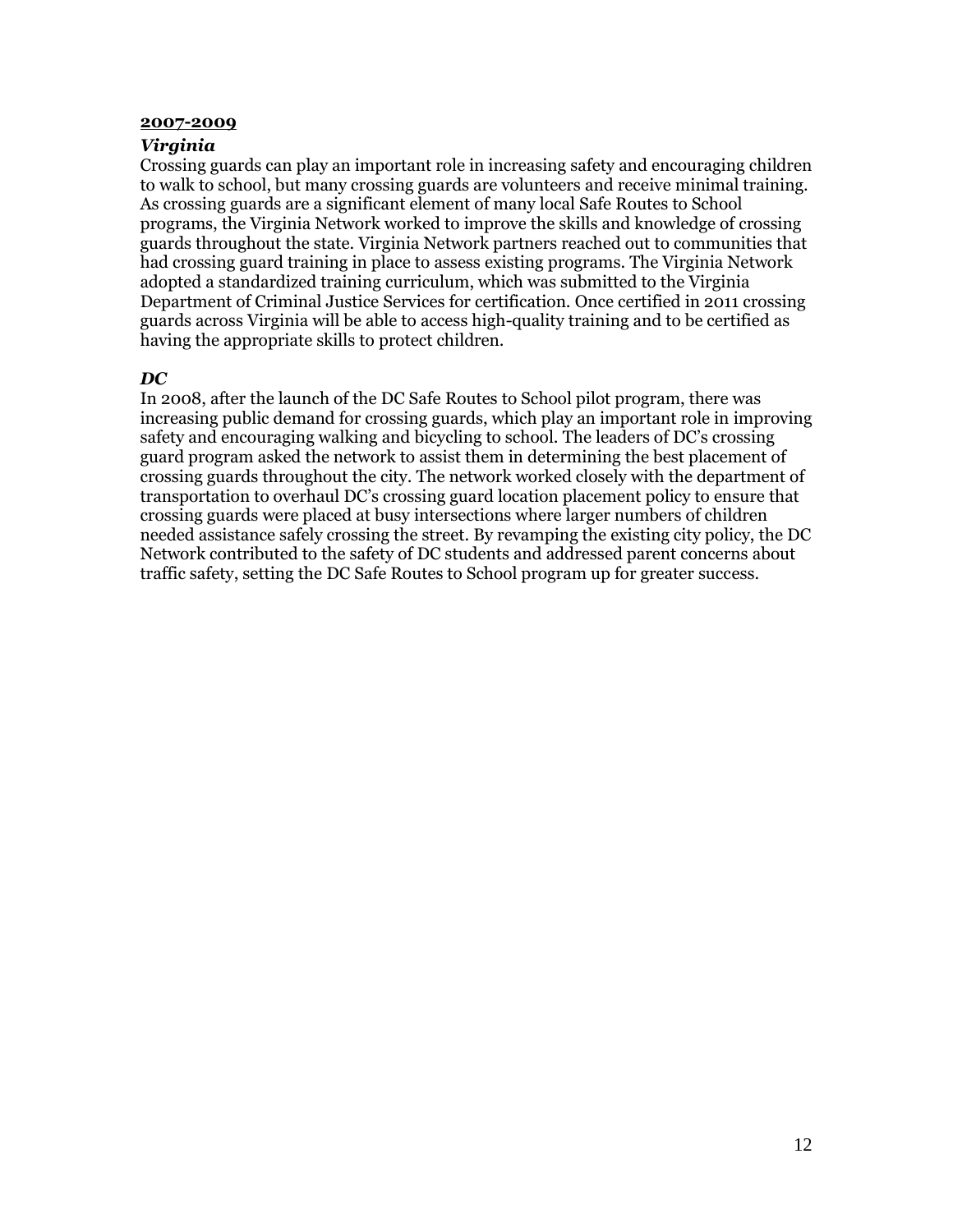#### **2007-2009**

### *Virginia*

Crossing guards can play an important role in increasing safety and encouraging children to walk to school, but many crossing guards are volunteers and receive minimal training. As crossing guards are a significant element of many local Safe Routes to School programs, the Virginia Network worked to improve the skills and knowledge of crossing guards throughout the state. Virginia Network partners reached out to communities that had crossing guard training in place to assess existing programs. The Virginia Network adopted a standardized training curriculum, which was submitted to the Virginia Department of Criminal Justice Services for certification. Once certified in 2011 crossing guards across Virginia will be able to access high-quality training and to be certified as having the appropriate skills to protect children.

### *DC*

In 2008, after the launch of the DC Safe Routes to School pilot program, there was increasing public demand for crossing guards, which play an important role in improving safety and encouraging walking and bicycling to school. The leaders of DC"s crossing guard program asked the network to assist them in determining the best placement of crossing guards throughout the city. The network worked closely with the department of transportation to overhaul DC"s crossing guard location placement policy to ensure that crossing guards were placed at busy intersections where larger numbers of children needed assistance safely crossing the street. By revamping the existing city policy, the DC Network contributed to the safety of DC students and addressed parent concerns about traffic safety, setting the DC Safe Routes to School program up for greater success.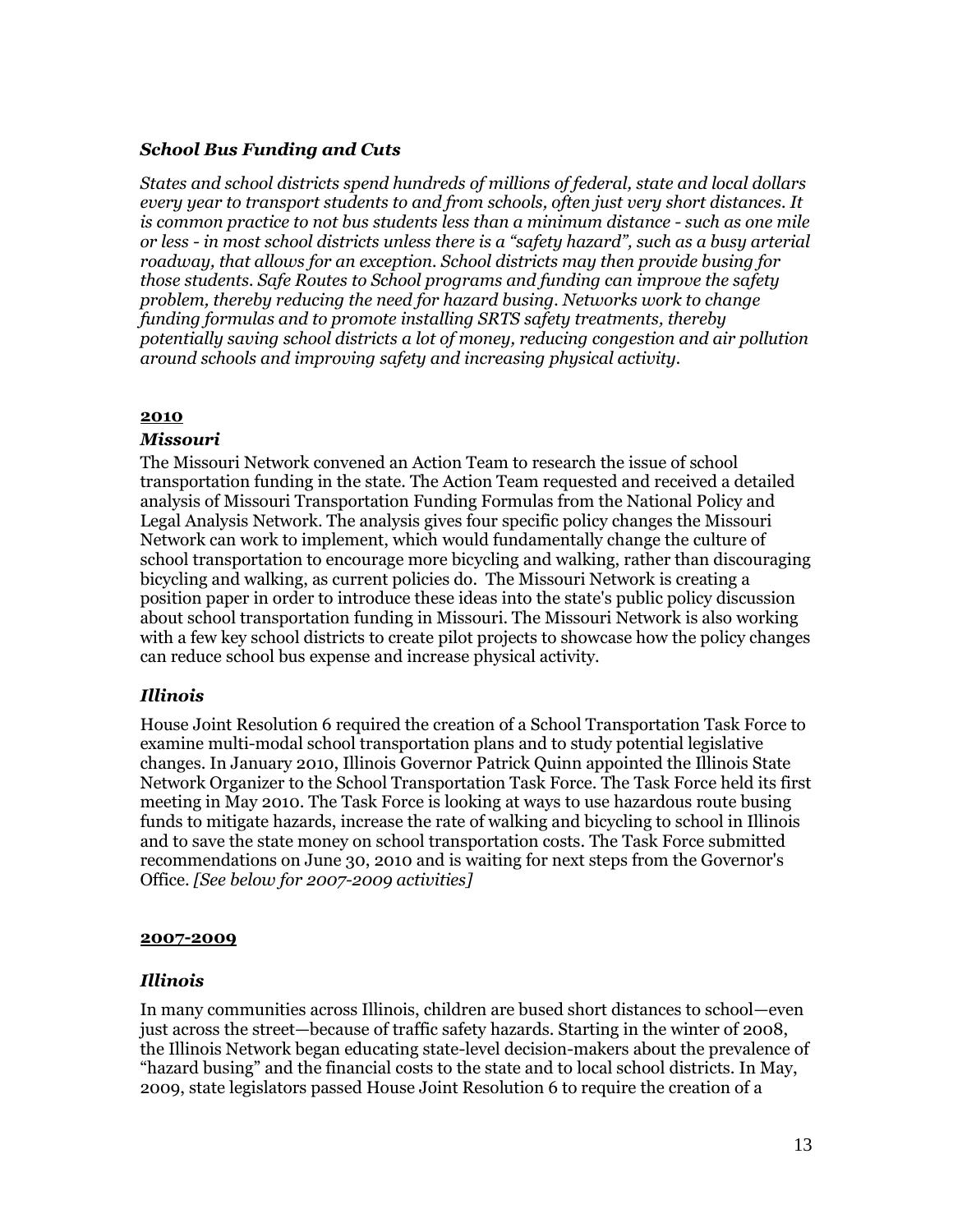# *School Bus Funding and Cuts*

*States and school districts spend hundreds of millions of federal, state and local dollars every year to transport students to and from schools, often just very short distances. It is common practice to not bus students less than a minimum distance - such as one mile or less - in most school districts unless there is a "safety hazard", such as a busy arterial roadway, that allows for an exception. School districts may then provide busing for those students. Safe Routes to School programs and funding can improve the safety problem, thereby reducing the need for hazard busing. Networks work to change funding formulas and to promote installing SRTS safety treatments, thereby potentially saving school districts a lot of money, reducing congestion and air pollution around schools and improving safety and increasing physical activity.*

### **2010**

### *Missouri*

The Missouri Network convened an Action Team to research the issue of school transportation funding in the state. The Action Team requested and received a detailed analysis of Missouri Transportation Funding Formulas from the National Policy and Legal Analysis Network. The analysis gives four specific policy changes the Missouri Network can work to implement, which would fundamentally change the culture of school transportation to encourage more bicycling and walking, rather than discouraging bicycling and walking, as current policies do. The Missouri Network is creating a position paper in order to introduce these ideas into the state's public policy discussion about school transportation funding in Missouri. The Missouri Network is also working with a few key school districts to create pilot projects to showcase how the policy changes can reduce school bus expense and increase physical activity.

# *Illinois*

House Joint Resolution 6 required the creation of a School Transportation Task Force to examine multi-modal school transportation plans and to study potential legislative changes. In January 2010, Illinois Governor Patrick Quinn appointed the Illinois State Network Organizer to the School Transportation Task Force. The Task Force held its first meeting in May 2010. The Task Force is looking at ways to use hazardous route busing funds to mitigate hazards, increase the rate of walking and bicycling to school in Illinois and to save the state money on school transportation costs. The Task Force submitted recommendations on June 30, 2010 and is waiting for next steps from the Governor's Office. *[See below for 2007-2009 activities]*

### **2007-2009**

### *Illinois*

In many communities across Illinois, children are bused short distances to school—even just across the street—because of traffic safety hazards. Starting in the winter of 2008, the Illinois Network began educating state-level decision-makers about the prevalence of "hazard busing" and the financial costs to the state and to local school districts. In May, 2009, state legislators passed House Joint Resolution 6 to require the creation of a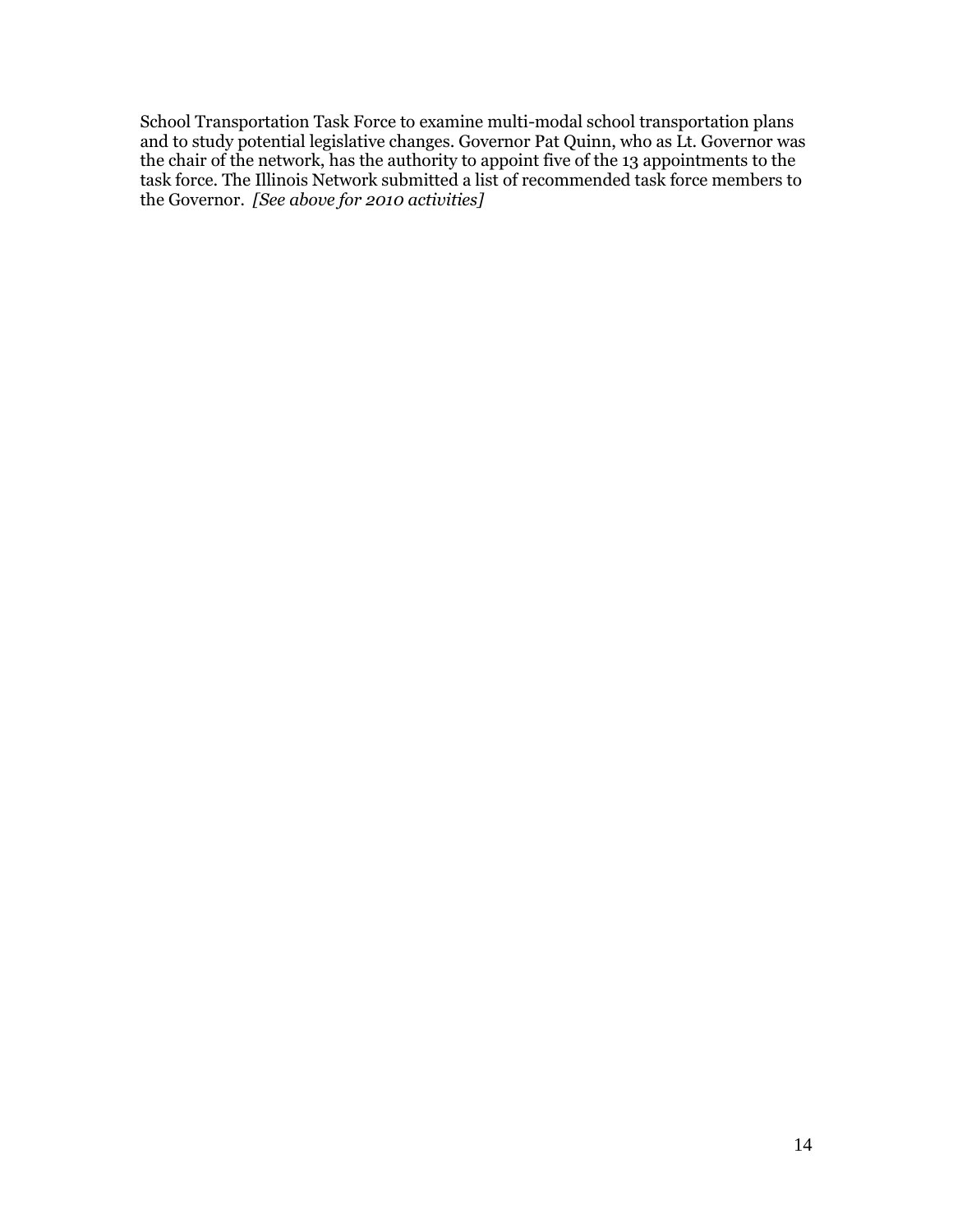School Transportation Task Force to examine multi-modal school transportation plans and to study potential legislative changes. Governor Pat Quinn, who as Lt. Governor was the chair of the network, has the authority to appoint five of the 13 appointments to the task force. The Illinois Network submitted a list of recommended task force members to the Governor*. [See above for 2010 activities]*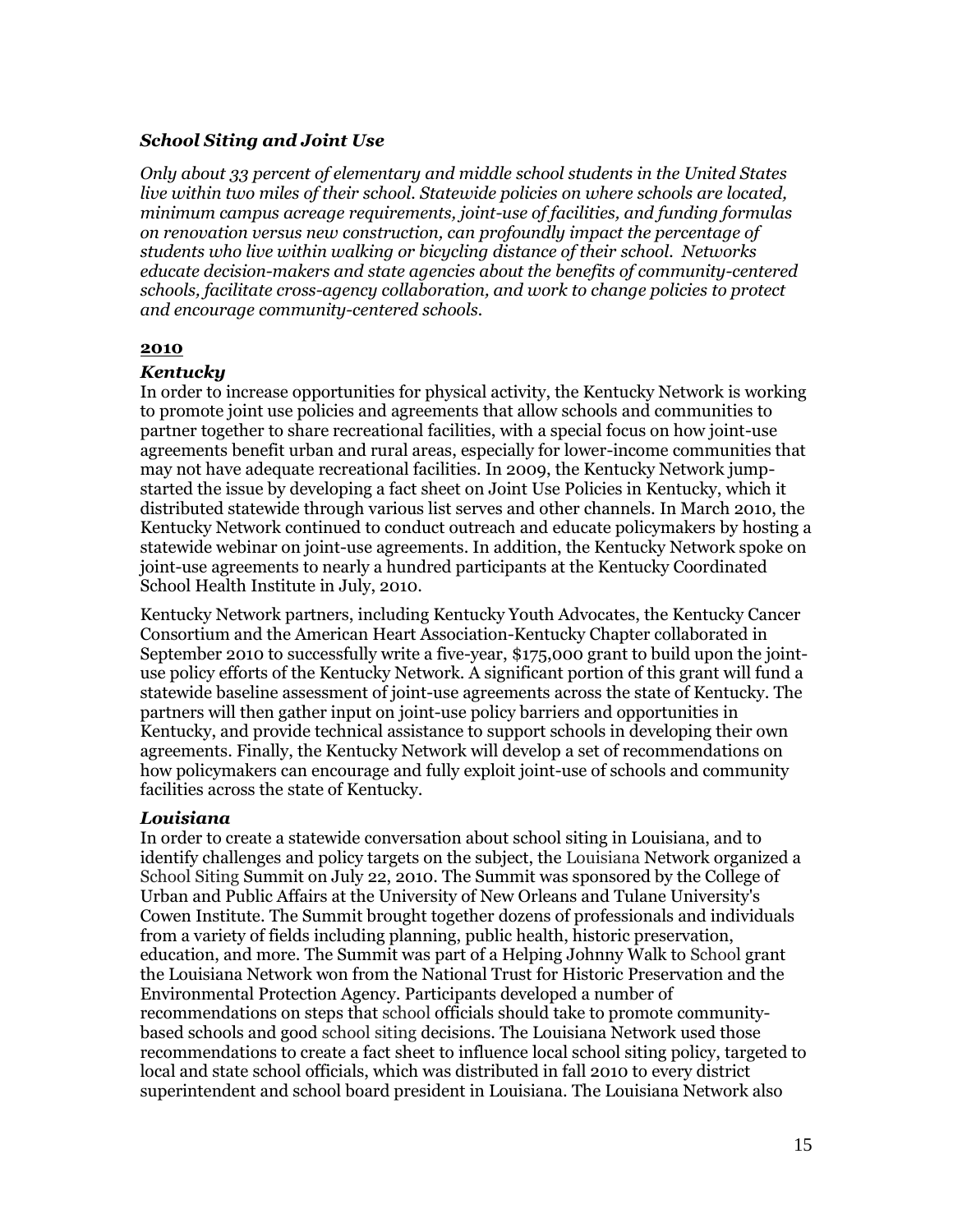### *School Siting and Joint Use*

*Only about 33 percent of elementary and middle school students in the United States live within two miles of their school. Statewide policies on where schools are located, minimum campus acreage requirements, joint-use of facilities, and funding formulas on renovation versus new construction, can profoundly impact the percentage of students who live within walking or bicycling distance of their school. Networks educate decision-makers and state agencies about the benefits of community-centered schools, facilitate cross-agency collaboration, and work to change policies to protect and encourage community-centered schools.*

### **2010**

### *Kentucky*

In order to increase opportunities for physical activity, the Kentucky Network is working to promote joint use policies and agreements that allow schools and communities to partner together to share recreational facilities, with a special focus on how joint-use agreements benefit urban and rural areas, especially for lower-income communities that may not have adequate recreational facilities. In 2009, the Kentucky Network jumpstarted the issue by developing a fact sheet on Joint Use Policies in Kentucky, which it distributed statewide through various list serves and other channels. In March 2010, the Kentucky Network continued to conduct outreach and educate policymakers by hosting a statewide webinar on joint-use agreements. In addition, the Kentucky Network spoke on joint-use agreements to nearly a hundred participants at the Kentucky Coordinated School Health Institute in July, 2010.

Kentucky Network partners, including Kentucky Youth Advocates, the Kentucky Cancer Consortium and the American Heart Association-Kentucky Chapter collaborated in September 2010 to successfully write a five-year, \$175,000 grant to build upon the jointuse policy efforts of the Kentucky Network. A significant portion of this grant will fund a statewide baseline assessment of joint-use agreements across the state of Kentucky. The partners will then gather input on joint-use policy barriers and opportunities in Kentucky, and provide technical assistance to support schools in developing their own agreements. Finally, the Kentucky Network will develop a set of recommendations on how policymakers can encourage and fully exploit joint-use of schools and community facilities across the state of Kentucky.

### *Louisiana*

In order to create a statewide conversation about school siting in Louisiana, and to identify challenges and policy targets on the subject, the Louisiana Network organized a School Siting Summit on July 22, 2010. The Summit was sponsored by the College of Urban and Public Affairs at the University of New Orleans and Tulane University's Cowen Institute. The Summit brought together dozens of professionals and individuals from a variety of fields including planning, public health, historic preservation, education, and more. The Summit was part of a Helping Johnny Walk to School grant the Louisiana Network won from the National Trust for Historic Preservation and the Environmental Protection Agency. Participants developed a number of recommendations on steps that school officials should take to promote communitybased schools and good school siting decisions. The Louisiana Network used those recommendations to create a fact sheet to influence local school siting policy, targeted to local and state school officials, which was distributed in fall 2010 to every district superintendent and school board president in Louisiana. The Louisiana Network also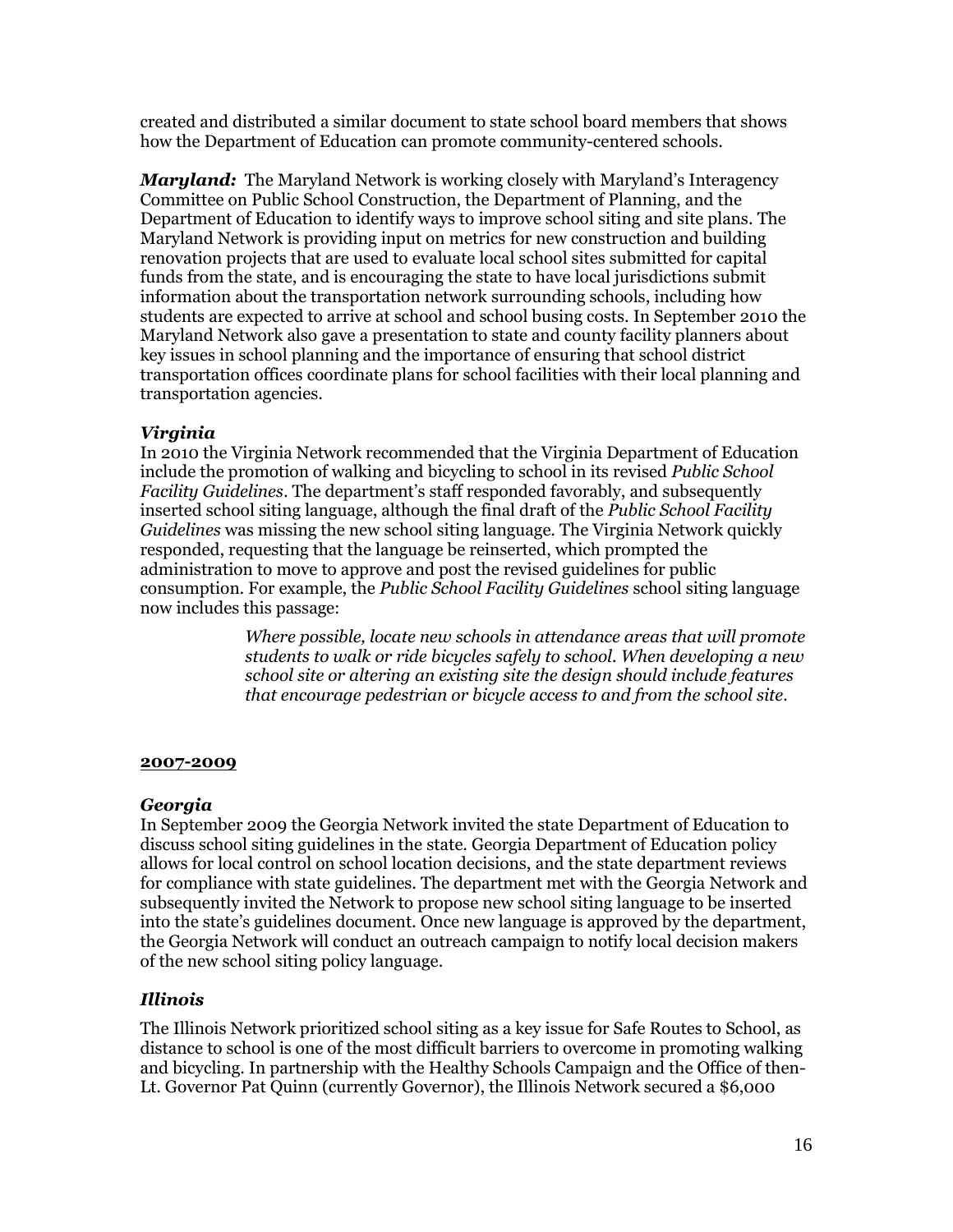created and distributed a similar document to state school board members that shows how the Department of Education can promote community-centered schools.

*Maryland:* The Maryland Network is working closely with Maryland"s Interagency Committee on Public School Construction, the Department of Planning, and the Department of Education to identify ways to improve school siting and site plans. The Maryland Network is providing input on metrics for new construction and building renovation projects that are used to evaluate local school sites submitted for capital funds from the state, and is encouraging the state to have local jurisdictions submit information about the transportation network surrounding schools, including how students are expected to arrive at school and school busing costs. In September 2010 the Maryland Network also gave a presentation to state and county facility planners about key issues in school planning and the importance of ensuring that school district transportation offices coordinate plans for school facilities with their local planning and transportation agencies.

# *Virginia*

In 2010 the Virginia Network recommended that the Virginia Department of Education include the promotion of walking and bicycling to school in its revised *Public School Facility Guidelines*. The department"s staff responded favorably, and subsequently inserted school siting language, although the final draft of the *Public School Facility Guidelines* was missing the new school siting language. The Virginia Network quickly responded, requesting that the language be reinserted, which prompted the administration to move to approve and post the revised guidelines for public consumption. For example, the *Public School Facility Guidelines* school siting language now includes this passage:

> *Where possible, locate new schools in attendance areas that will promote students to walk or ride bicycles safely to school. When developing a new school site or altering an existing site the design should include features that encourage pedestrian or bicycle access to and from the school site.*

# **2007-2009**

# *Georgia*

In September 2009 the Georgia Network invited the state Department of Education to discuss school siting guidelines in the state. Georgia Department of Education policy allows for local control on school location decisions, and the state department reviews for compliance with state guidelines. The department met with the Georgia Network and subsequently invited the Network to propose new school siting language to be inserted into the state"s guidelines document. Once new language is approved by the department, the Georgia Network will conduct an outreach campaign to notify local decision makers of the new school siting policy language.

# *Illinois*

The Illinois Network prioritized school siting as a key issue for Safe Routes to School, as distance to school is one of the most difficult barriers to overcome in promoting walking and bicycling. In partnership with the Healthy Schools Campaign and the Office of then-Lt. Governor Pat Quinn (currently Governor), the Illinois Network secured a \$6,000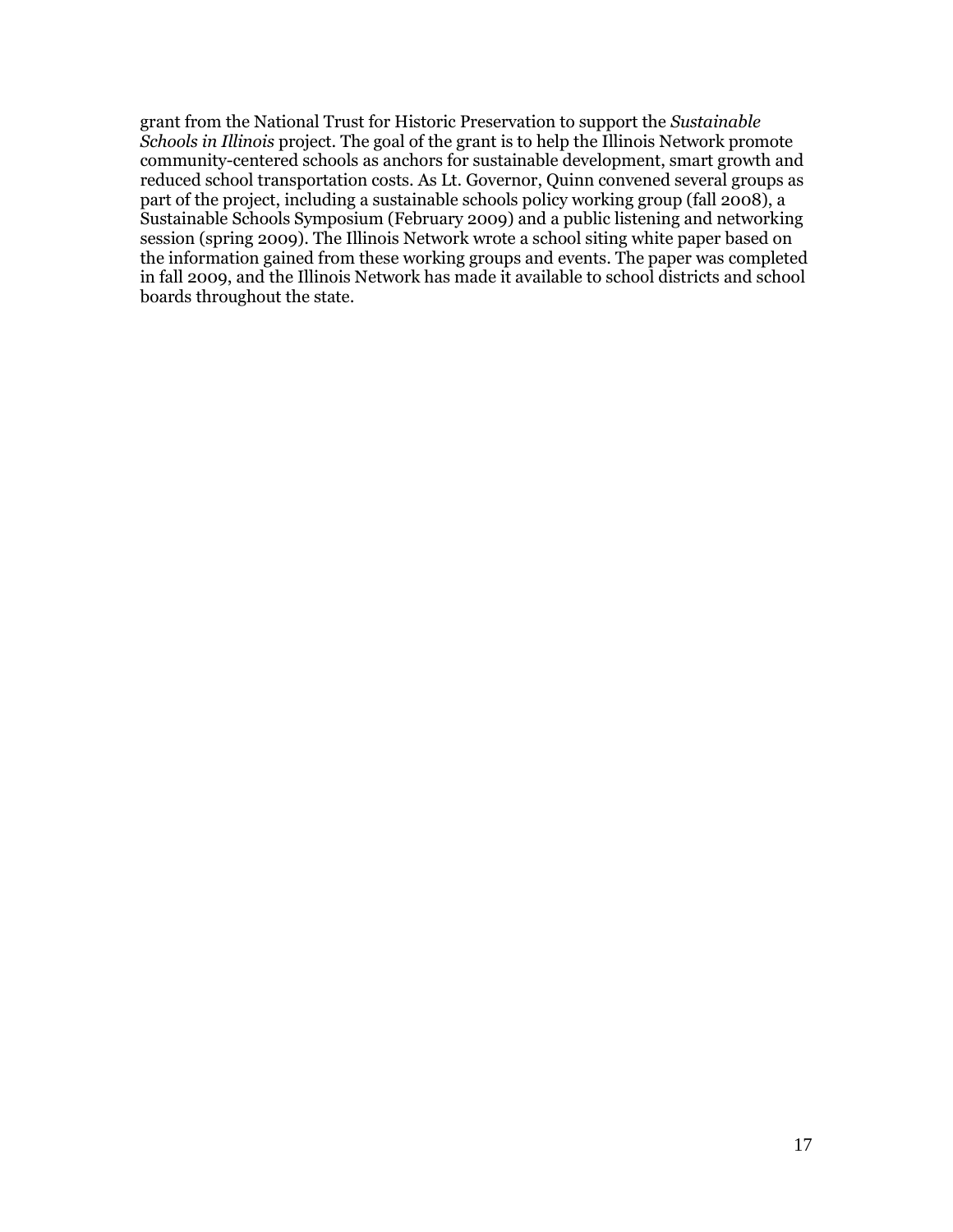grant from the National Trust for Historic Preservation to support the *Sustainable Schools in Illinois* project. The goal of the grant is to help the Illinois Network promote community-centered schools as anchors for sustainable development, smart growth and reduced school transportation costs. As Lt. Governor, Quinn convened several groups as part of the project, including a sustainable schools policy working group (fall 2008), a Sustainable Schools Symposium (February 2009) and a public listening and networking session (spring 2009). The Illinois Network wrote a school siting white paper based on the information gained from these working groups and events. The paper was completed in fall 2009, and the Illinois Network has made it available to school districts and school boards throughout the state.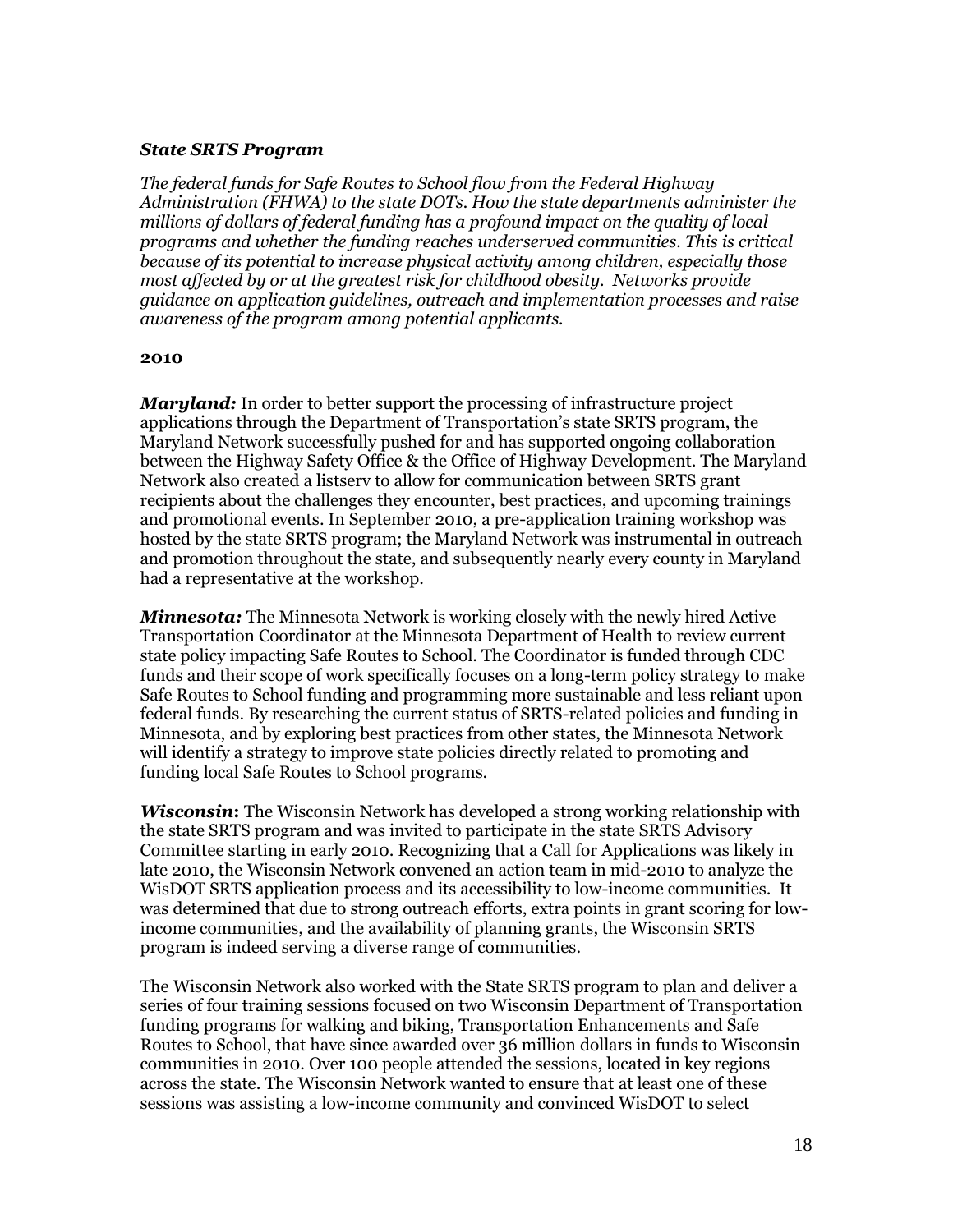### *State SRTS Program*

*The federal funds for Safe Routes to School flow from the Federal Highway Administration (FHWA) to the state DOTs. How the state departments administer the millions of dollars of federal funding has a profound impact on the quality of local programs and whether the funding reaches underserved communities. This is critical because of its potential to increase physical activity among children, especially those most affected by or at the greatest risk for childhood obesity. Networks provide guidance on application guidelines, outreach and implementation processes and raise awareness of the program among potential applicants.*

### **2010**

*Maryland:* In order to better support the processing of infrastructure project applications through the Department of Transportation"s state SRTS program, the Maryland Network successfully pushed for and has supported ongoing collaboration between the Highway Safety Office & the Office of Highway Development. The Maryland Network also created a listserv to allow for communication between SRTS grant recipients about the challenges they encounter, best practices, and upcoming trainings and promotional events. In September 2010, a pre-application training workshop was hosted by the state SRTS program; the Maryland Network was instrumental in outreach and promotion throughout the state, and subsequently nearly every county in Maryland had a representative at the workshop.

*Minnesota:* The Minnesota Network is working closely with the newly hired Active Transportation Coordinator at the Minnesota Department of Health to review current state policy impacting Safe Routes to School. The Coordinator is funded through CDC funds and their scope of work specifically focuses on a long-term policy strategy to make Safe Routes to School funding and programming more sustainable and less reliant upon federal funds. By researching the current status of SRTS-related policies and funding in Minnesota, and by exploring best practices from other states, the Minnesota Network will identify a strategy to improve state policies directly related to promoting and funding local Safe Routes to School programs.

*Wisconsin***:** The Wisconsin Network has developed a strong working relationship with the state SRTS program and was invited to participate in the state SRTS Advisory Committee starting in early 2010. Recognizing that a Call for Applications was likely in late 2010, the Wisconsin Network convened an action team in mid-2010 to analyze the WisDOT SRTS application process and its accessibility to low-income communities. It was determined that due to strong outreach efforts, extra points in grant scoring for lowincome communities, and the availability of planning grants, the Wisconsin SRTS program is indeed serving a diverse range of communities.

The Wisconsin Network also worked with the State SRTS program to plan and deliver a series of four training sessions focused on two Wisconsin Department of Transportation funding programs for walking and biking, Transportation Enhancements and Safe Routes to School, that have since awarded over 36 million dollars in funds to Wisconsin communities in 2010. Over 100 people attended the sessions, located in key regions across the state. The Wisconsin Network wanted to ensure that at least one of these sessions was assisting a low-income community and convinced WisDOT to select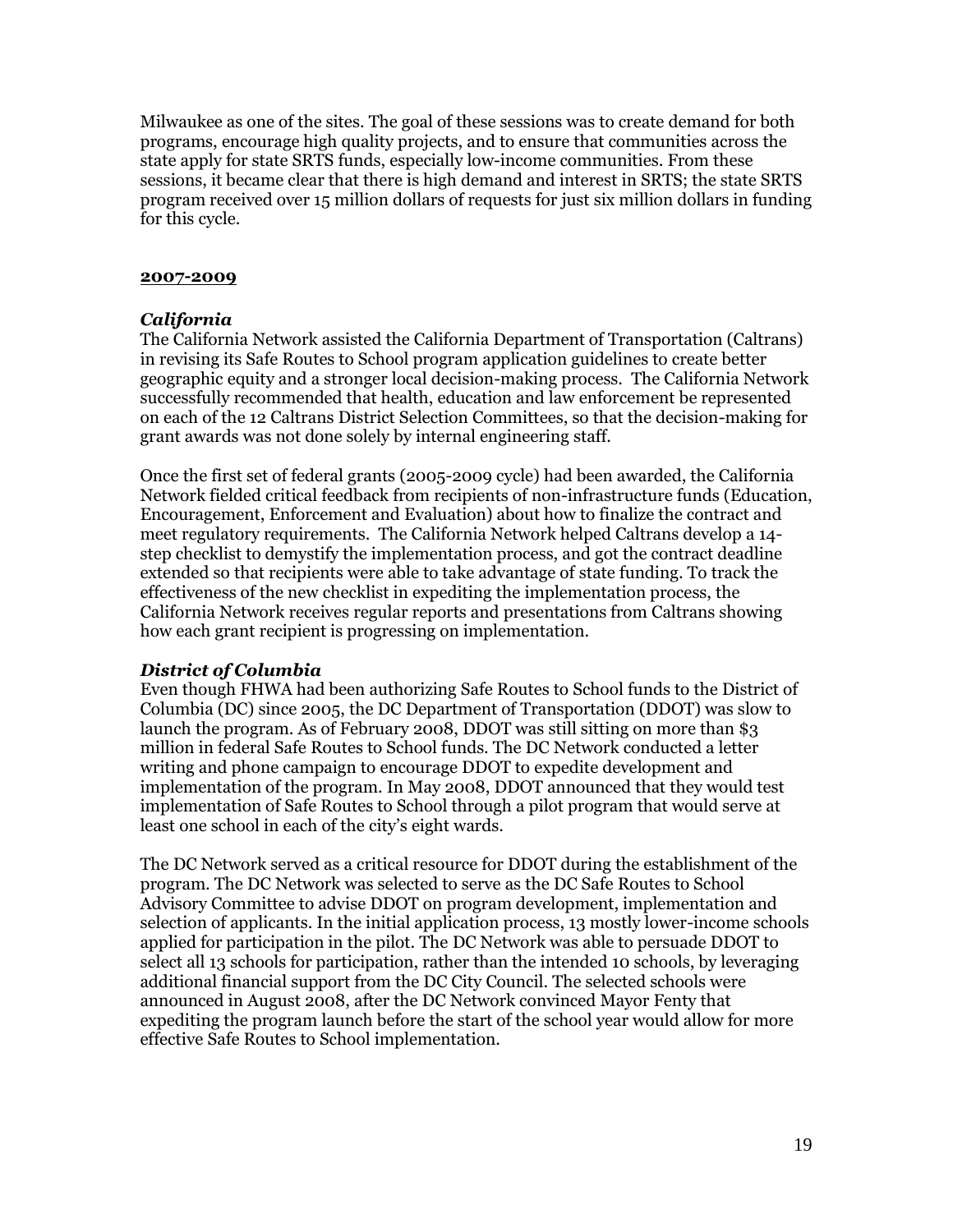Milwaukee as one of the sites. The goal of these sessions was to create demand for both programs, encourage high quality projects, and to ensure that communities across the state apply for state SRTS funds, especially low-income communities. From these sessions, it became clear that there is high demand and interest in SRTS; the state SRTS program received over 15 million dollars of requests for just six million dollars in funding for this cycle.

### **2007-2009**

# *California*

The California Network assisted the California Department of Transportation (Caltrans) in revising its Safe Routes to School program application guidelines to create better geographic equity and a stronger local decision-making process. The California Network successfully recommended that health, education and law enforcement be represented on each of the 12 Caltrans District Selection Committees, so that the decision-making for grant awards was not done solely by internal engineering staff.

Once the first set of federal grants (2005-2009 cycle) had been awarded, the California Network fielded critical feedback from recipients of non-infrastructure funds (Education, Encouragement, Enforcement and Evaluation) about how to finalize the contract and meet regulatory requirements. The California Network helped Caltrans develop a 14 step checklist to demystify the implementation process, and got the contract deadline extended so that recipients were able to take advantage of state funding. To track the effectiveness of the new checklist in expediting the implementation process, the California Network receives regular reports and presentations from Caltrans showing how each grant recipient is progressing on implementation.

# *District of Columbia*

Even though FHWA had been authorizing Safe Routes to School funds to the District of Columbia (DC) since 2005, the DC Department of Transportation (DDOT) was slow to launch the program. As of February 2008, DDOT was still sitting on more than \$3 million in federal Safe Routes to School funds. The DC Network conducted a letter writing and phone campaign to encourage DDOT to expedite development and implementation of the program. In May 2008, DDOT announced that they would test implementation of Safe Routes to School through a pilot program that would serve at least one school in each of the city's eight wards.

The DC Network served as a critical resource for DDOT during the establishment of the program. The DC Network was selected to serve as the DC Safe Routes to School Advisory Committee to advise DDOT on program development, implementation and selection of applicants. In the initial application process, 13 mostly lower-income schools applied for participation in the pilot. The DC Network was able to persuade DDOT to select all 13 schools for participation, rather than the intended 10 schools, by leveraging additional financial support from the DC City Council. The selected schools were announced in August 2008, after the DC Network convinced Mayor Fenty that expediting the program launch before the start of the school year would allow for more effective Safe Routes to School implementation.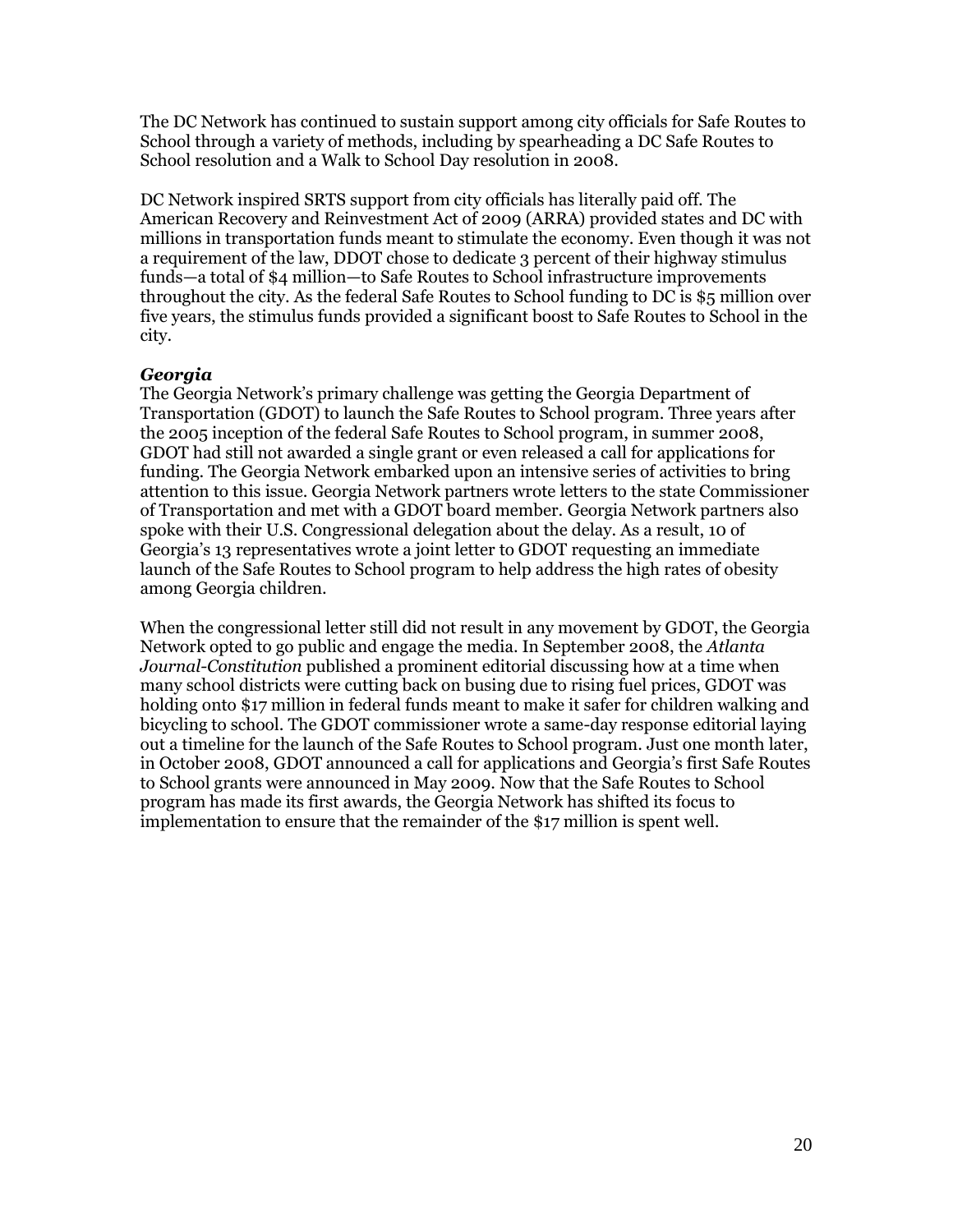The DC Network has continued to sustain support among city officials for Safe Routes to School through a variety of methods, including by spearheading a DC Safe Routes to School resolution and a Walk to School Day resolution in 2008.

DC Network inspired SRTS support from city officials has literally paid off. The American Recovery and Reinvestment Act of 2009 (ARRA) provided states and DC with millions in transportation funds meant to stimulate the economy. Even though it was not a requirement of the law, DDOT chose to dedicate 3 percent of their highway stimulus funds—a total of \$4 million—to Safe Routes to School infrastructure improvements throughout the city. As the federal Safe Routes to School funding to DC is \$5 million over five years, the stimulus funds provided a significant boost to Safe Routes to School in the city.

### *Georgia*

The Georgia Network"s primary challenge was getting the Georgia Department of Transportation (GDOT) to launch the Safe Routes to School program. Three years after the 2005 inception of the federal Safe Routes to School program, in summer 2008, GDOT had still not awarded a single grant or even released a call for applications for funding. The Georgia Network embarked upon an intensive series of activities to bring attention to this issue. Georgia Network partners wrote letters to the state Commissioner of Transportation and met with a GDOT board member. Georgia Network partners also spoke with their U.S. Congressional delegation about the delay. As a result, 10 of Georgia"s 13 representatives wrote a joint letter to GDOT requesting an immediate launch of the Safe Routes to School program to help address the high rates of obesity among Georgia children.

When the congressional letter still did not result in any movement by GDOT, the Georgia Network opted to go public and engage the media. In September 2008, the *Atlanta Journal-Constitution* published a prominent editorial discussing how at a time when many school districts were cutting back on busing due to rising fuel prices, GDOT was holding onto \$17 million in federal funds meant to make it safer for children walking and bicycling to school. The GDOT commissioner wrote a same-day response editorial laying out a timeline for the launch of the Safe Routes to School program. Just one month later, in October 2008, GDOT announced a call for applications and Georgia"s first Safe Routes to School grants were announced in May 2009. Now that the Safe Routes to School program has made its first awards, the Georgia Network has shifted its focus to implementation to ensure that the remainder of the \$17 million is spent well.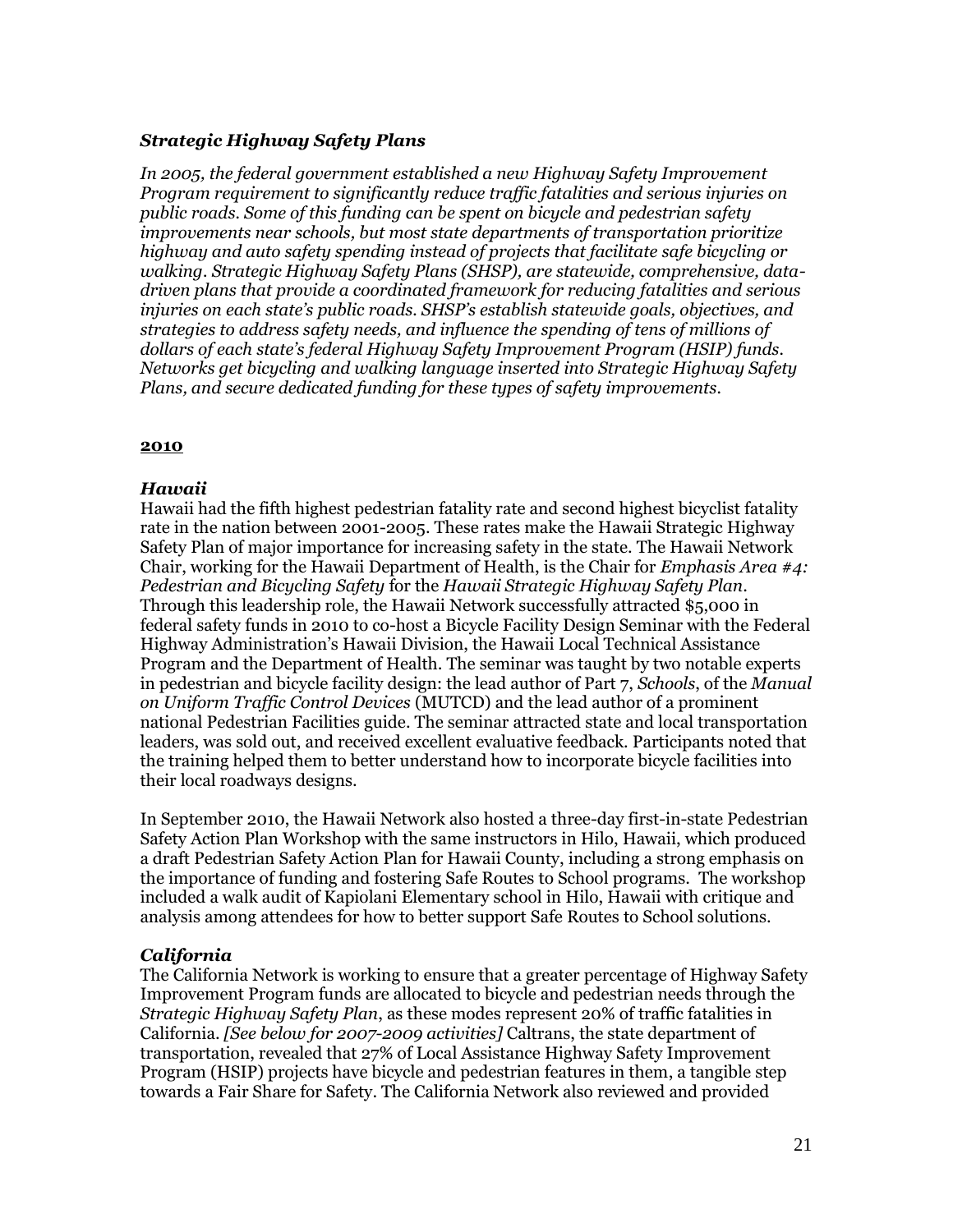### *Strategic Highway Safety Plans*

*In 2005, the federal government established a new Highway Safety Improvement Program requirement to significantly reduce traffic fatalities and serious injuries on public roads. Some of this funding can be spent on bicycle and pedestrian safety improvements near schools, but most state departments of transportation prioritize highway and auto safety spending instead of projects that facilitate safe bicycling or walking. Strategic Highway Safety Plans (SHSP), are statewide, comprehensive, datadriven plans that provide a coordinated framework for reducing fatalities and serious injuries on each state's public roads. SHSP's establish statewide goals, objectives, and strategies to address safety needs, and influence the spending of tens of millions of dollars of each state's federal Highway Safety Improvement Program (HSIP) funds. Networks get bicycling and walking language inserted into Strategic Highway Safety Plans, and secure dedicated funding for these types of safety improvements.*

### **2010**

### *Hawaii*

Hawaii had the fifth highest pedestrian fatality rate and second highest bicyclist fatality rate in the nation between 2001-2005. These rates make the Hawaii Strategic Highway Safety Plan of major importance for increasing safety in the state. The Hawaii Network Chair, working for the Hawaii Department of Health, is the Chair for *Emphasis Area #4: Pedestrian and Bicycling Safety* for the *Hawaii Strategic Highway Safety Plan*. Through this leadership role, the Hawaii Network successfully attracted \$5,000 in federal safety funds in 2010 to co-host a Bicycle Facility Design Seminar with the Federal Highway Administration"s Hawaii Division, the Hawaii Local Technical Assistance Program and the Department of Health. The seminar was taught by two notable experts in pedestrian and bicycle facility design: the lead author of Part 7, *Schools*, of the *Manual on Uniform Traffic Control Devices* (MUTCD) and the lead author of a prominent national Pedestrian Facilities guide. The seminar attracted state and local transportation leaders, was sold out, and received excellent evaluative feedback. Participants noted that the training helped them to better understand how to incorporate bicycle facilities into their local roadways designs.

In September 2010, the Hawaii Network also hosted a three-day first-in-state Pedestrian Safety Action Plan Workshop with the same instructors in Hilo, Hawaii, which produced a draft Pedestrian Safety Action Plan for Hawaii County, including a strong emphasis on the importance of funding and fostering Safe Routes to School programs. The workshop included a walk audit of Kapiolani Elementary school in Hilo, Hawaii with critique and analysis among attendees for how to better support Safe Routes to School solutions.

# *California*

The California Network is working to ensure that a greater percentage of Highway Safety Improvement Program funds are allocated to bicycle and pedestrian needs through the *Strategic Highway Safety Plan*, as these modes represent 20% of traffic fatalities in California. *[See below for 2007-2009 activities]* Caltrans, the state department of transportation, revealed that 27% of Local Assistance Highway Safety Improvement Program (HSIP) projects have bicycle and pedestrian features in them, a tangible step towards a Fair Share for Safety. The California Network also reviewed and provided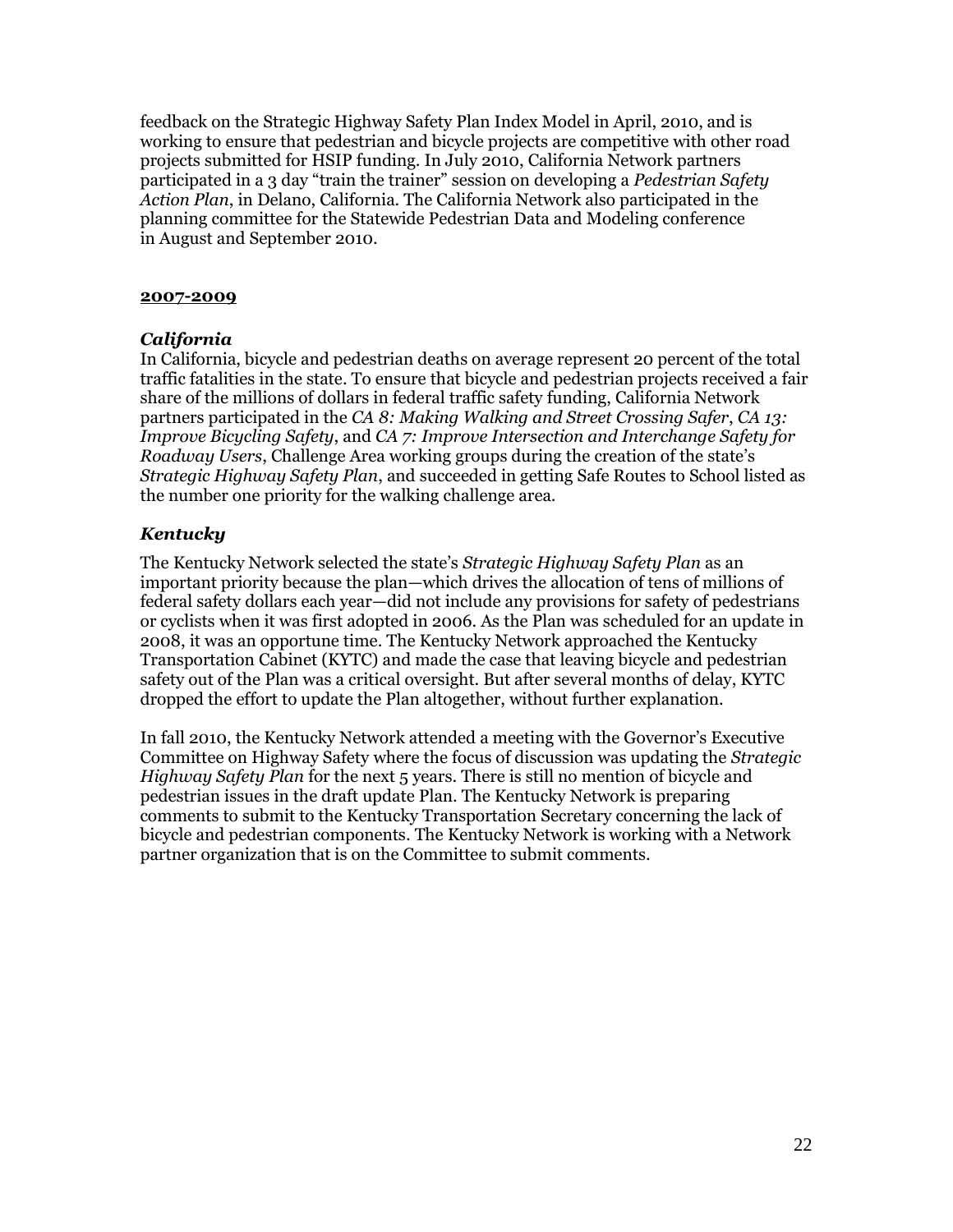feedback on the Strategic Highway Safety Plan Index Model in April, 2010, and is working to ensure that pedestrian and bicycle projects are competitive with other road projects submitted for HSIP funding. In July 2010, California Network partners participated in a 3 day "train the trainer" session on developing a *Pedestrian Safety Action Plan*, in Delano, California. The California Network also participated in the planning committee for the Statewide Pedestrian Data and Modeling conference in August and September 2010.

### **2007-2009**

# *California*

In California, bicycle and pedestrian deaths on average represent 20 percent of the total traffic fatalities in the state. To ensure that bicycle and pedestrian projects received a fair share of the millions of dollars in federal traffic safety funding, California Network partners participated in the *CA 8: Making Walking and Street Crossing Safer*, *CA 13: Improve Bicycling Safety*, and *CA 7: Improve Intersection and Interchange Safety for Roadway Users*, Challenge Area working groups during the creation of the state's *Strategic Highway Safety Plan*, and succeeded in getting Safe Routes to School listed as the number one priority for the walking challenge area.

# *Kentucky*

The Kentucky Network selected the state"s *Strategic Highway Safety Plan* as an important priority because the plan—which drives the allocation of tens of millions of federal safety dollars each year—did not include any provisions for safety of pedestrians or cyclists when it was first adopted in 2006. As the Plan was scheduled for an update in 2008, it was an opportune time. The Kentucky Network approached the Kentucky Transportation Cabinet (KYTC) and made the case that leaving bicycle and pedestrian safety out of the Plan was a critical oversight. But after several months of delay, KYTC dropped the effort to update the Plan altogether, without further explanation.

In fall 2010, the Kentucky Network attended a meeting with the Governor"s Executive Committee on Highway Safety where the focus of discussion was updating the *Strategic Highway Safety Plan* for the next 5 years. There is still no mention of bicycle and pedestrian issues in the draft update Plan. The Kentucky Network is preparing comments to submit to the Kentucky Transportation Secretary concerning the lack of bicycle and pedestrian components. The Kentucky Network is working with a Network partner organization that is on the Committee to submit comments.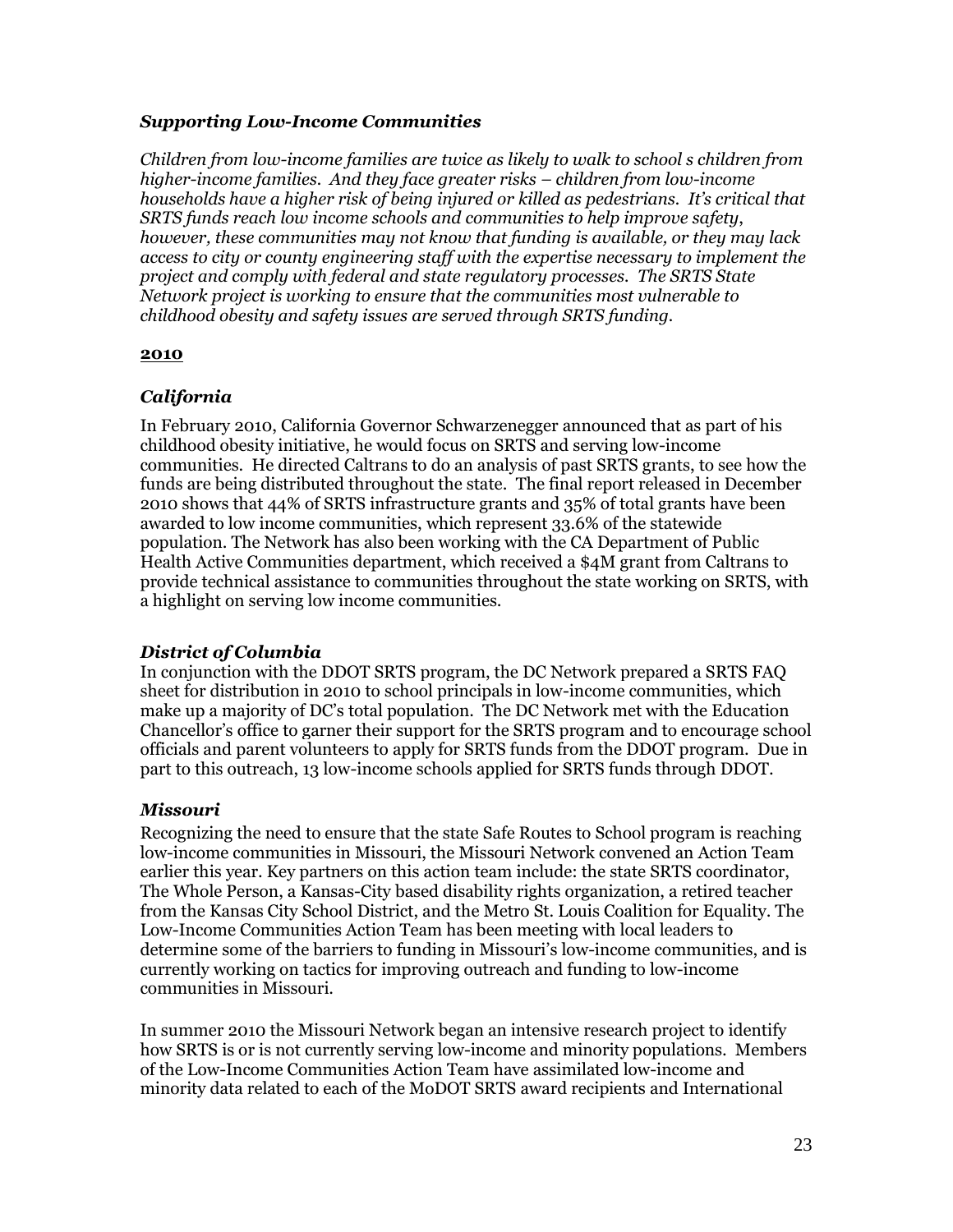# *Supporting Low-Income Communities*

*Children from low-income families are twice as likely to walk to school s children from higher-income families. And they face greater risks – children from low-income households have a higher risk of being injured or killed as pedestrians. It's critical that SRTS funds reach low income schools and communities to help improve safety*, *however, these communities may not know that funding is available, or they may lack access to city or county engineering staff with the expertise necessary to implement the project and comply with federal and state regulatory processes. The SRTS State Network project is working to ensure that the communities most vulnerable to childhood obesity and safety issues are served through SRTS funding.*

### **2010**

# *California*

In February 2010, California Governor Schwarzenegger announced that as part of his childhood obesity initiative, he would focus on SRTS and serving low-income communities. He directed Caltrans to do an analysis of past SRTS grants, to see how the funds are being distributed throughout the state. The final report released in December 2010 shows that 44% of SRTS infrastructure grants and 35% of total grants have been awarded to low income communities, which represent 33.6% of the statewide population. The Network has also been working with the CA Department of Public Health Active Communities department, which received a \$4M grant from Caltrans to provide technical assistance to communities throughout the state working on SRTS, with a highlight on serving low income communities.

# *District of Columbia*

In conjunction with the DDOT SRTS program, the DC Network prepared a SRTS FAQ sheet for distribution in 2010 to school principals in low-income communities, which make up a majority of DC"s total population. The DC Network met with the Education Chancellor"s office to garner their support for the SRTS program and to encourage school officials and parent volunteers to apply for SRTS funds from the DDOT program. Due in part to this outreach, 13 low-income schools applied for SRTS funds through DDOT.

# *Missouri*

Recognizing the need to ensure that the state Safe Routes to School program is reaching low-income communities in Missouri, the Missouri Network convened an Action Team earlier this year. Key partners on this action team include: the state SRTS coordinator, The Whole Person, a Kansas-City based disability rights organization, a retired teacher from the Kansas City School District, and the Metro St. Louis Coalition for Equality. The Low-Income Communities Action Team has been meeting with local leaders to determine some of the barriers to funding in Missouri's low-income communities, and is currently working on tactics for improving outreach and funding to low-income communities in Missouri.

In summer 2010 the Missouri Network began an intensive research project to identify how SRTS is or is not currently serving low-income and minority populations. Members of the Low-Income Communities Action Team have assimilated low-income and minority data related to each of the MoDOT SRTS award recipients and International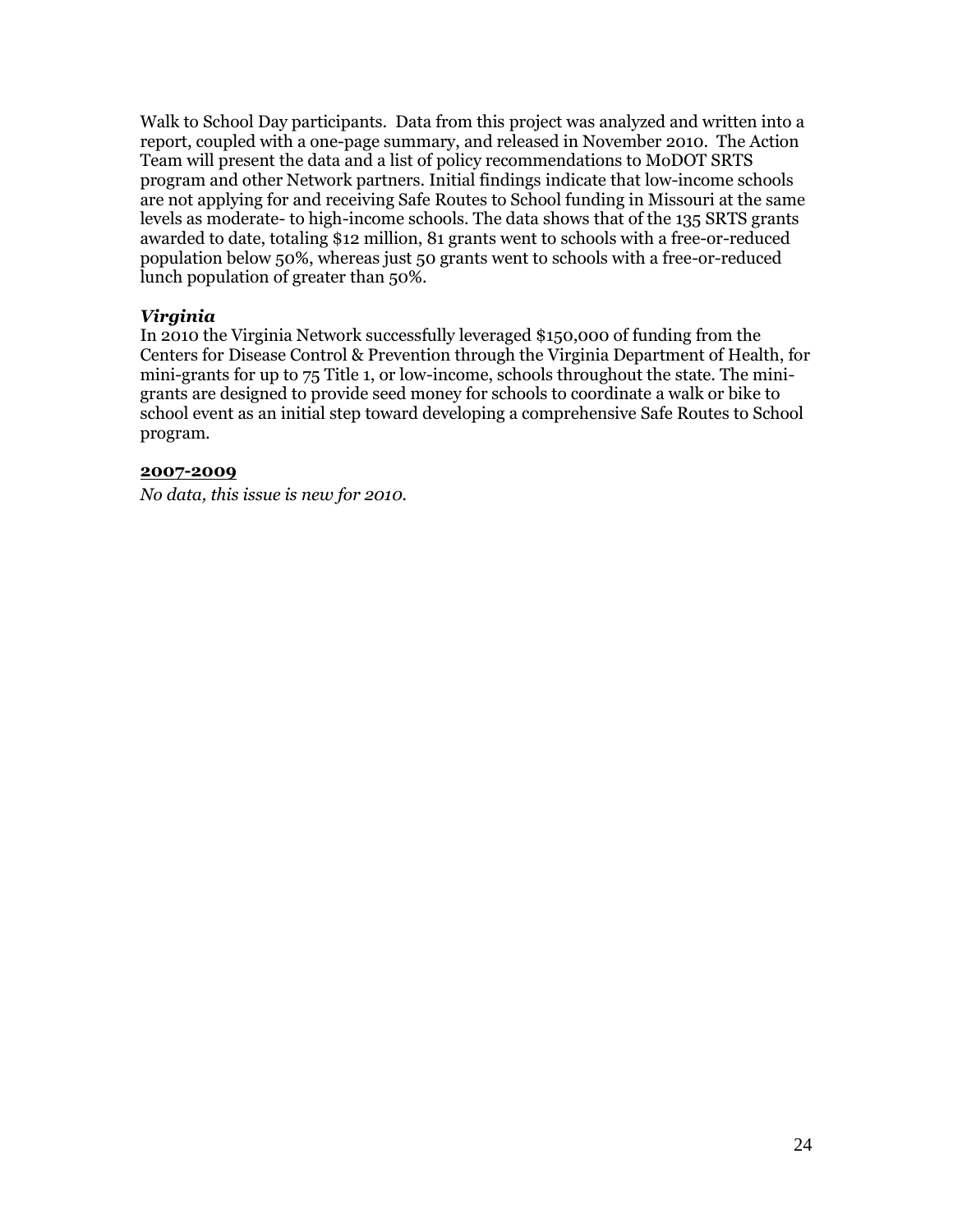Walk to School Day participants. Data from this project was analyzed and written into a report, coupled with a one-page summary, and released in November 2010. The Action Team will present the data and a list of policy recommendations to MoDOT SRTS program and other Network partners. Initial findings indicate that low-income schools are not applying for and receiving Safe Routes to School funding in Missouri at the same levels as moderate- to high-income schools. The data shows that of the 135 SRTS grants awarded to date, totaling \$12 million, 81 grants went to schools with a free-or-reduced population below 50%, whereas just 50 grants went to schools with a free-or-reduced lunch population of greater than 50%.

### *Virginia*

In 2010 the Virginia Network successfully leveraged \$150,000 of funding from the Centers for Disease Control & Prevention through the Virginia Department of Health, for mini-grants for up to 75 Title 1, or low-income, schools throughout the state. The minigrants are designed to provide seed money for schools to coordinate a walk or bike to school event as an initial step toward developing a comprehensive Safe Routes to School program.

### **2007-2009**

*No data, this issue is new for 2010.*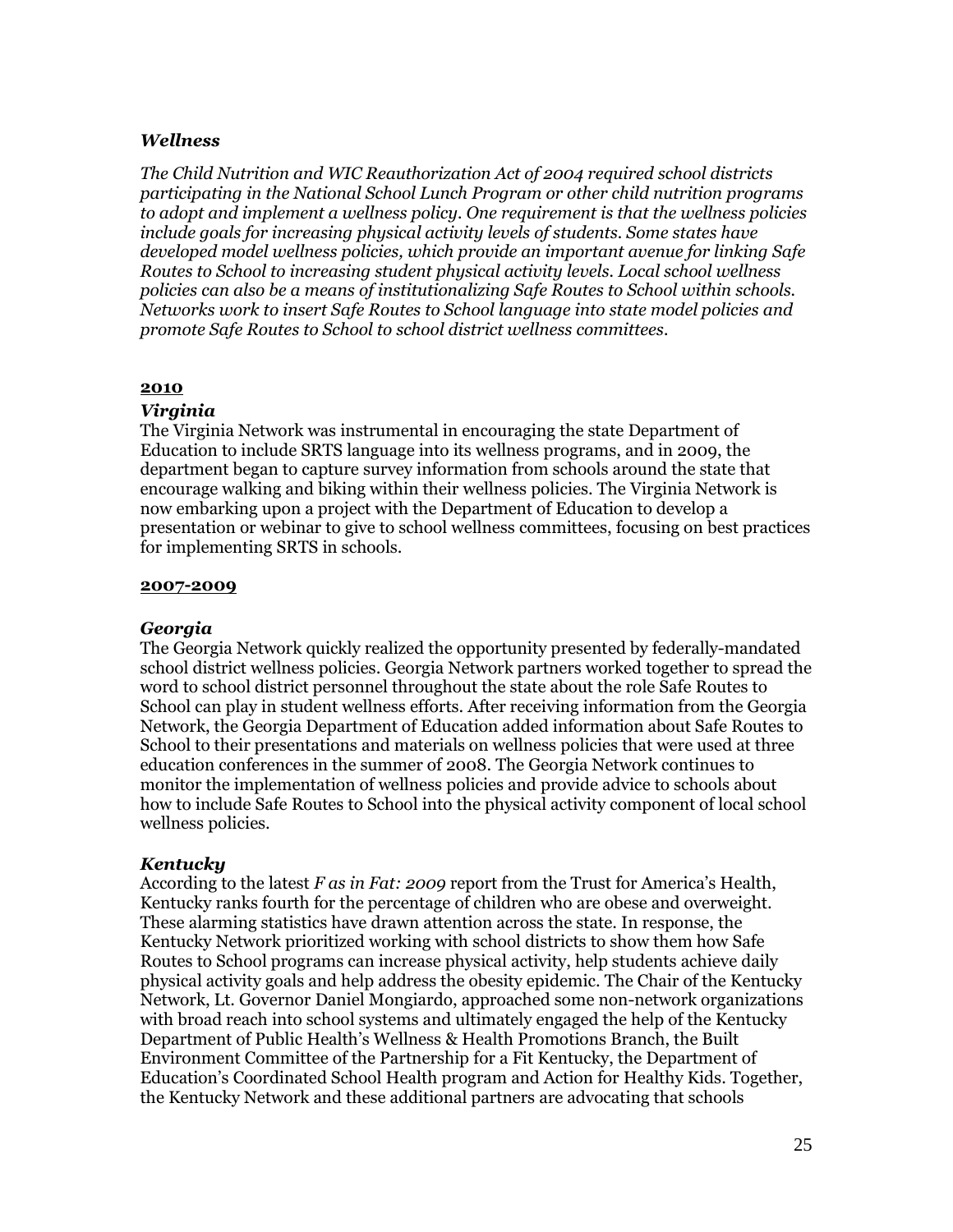### *Wellness*

*The Child Nutrition and WIC Reauthorization Act of 2004 required school districts participating in the National School Lunch Program or other child nutrition programs to adopt and implement a wellness policy. One requirement is that the wellness policies include goals for increasing physical activity levels of students. Some states have developed model wellness policies, which provide an important avenue for linking Safe Routes to School to increasing student physical activity levels. Local school wellness policies can also be a means of institutionalizing Safe Routes to School within schools. Networks work to insert Safe Routes to School language into state model policies and promote Safe Routes to School to school district wellness committees.*

### **2010**

### *Virginia*

The Virginia Network was instrumental in encouraging the state Department of Education to include SRTS language into its wellness programs, and in 2009, the department began to capture survey information from schools around the state that encourage walking and biking within their wellness policies. The Virginia Network is now embarking upon a project with the Department of Education to develop a presentation or webinar to give to school wellness committees, focusing on best practices for implementing SRTS in schools.

#### **2007-2009**

### *Georgia*

The Georgia Network quickly realized the opportunity presented by federally-mandated school district wellness policies. Georgia Network partners worked together to spread the word to school district personnel throughout the state about the role Safe Routes to School can play in student wellness efforts. After receiving information from the Georgia Network, the Georgia Department of Education added information about Safe Routes to School to their presentations and materials on wellness policies that were used at three education conferences in the summer of 2008. The Georgia Network continues to monitor the implementation of wellness policies and provide advice to schools about how to include Safe Routes to School into the physical activity component of local school wellness policies.

### *Kentucky*

According to the latest *F as in Fat: 2009* report from the Trust for America's Health, Kentucky ranks fourth for the percentage of children who are obese and overweight. These alarming statistics have drawn attention across the state. In response, the Kentucky Network prioritized working with school districts to show them how Safe Routes to School programs can increase physical activity, help students achieve daily physical activity goals and help address the obesity epidemic. The Chair of the Kentucky Network, Lt. Governor Daniel Mongiardo, approached some non-network organizations with broad reach into school systems and ultimately engaged the help of the Kentucky Department of Public Health"s Wellness & Health Promotions Branch, the Built Environment Committee of the Partnership for a Fit Kentucky, the Department of Education"s Coordinated School Health program and Action for Healthy Kids. Together, the Kentucky Network and these additional partners are advocating that schools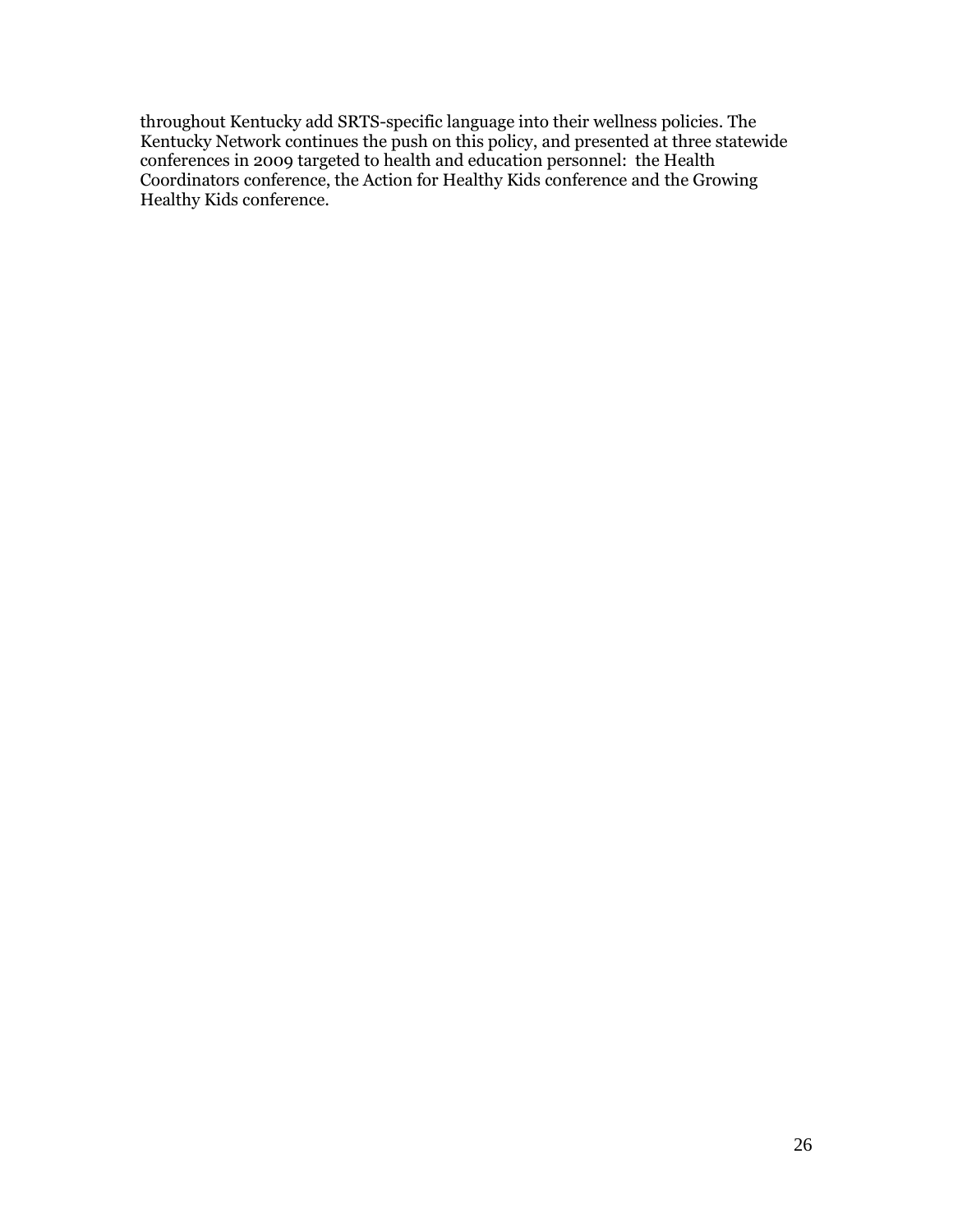throughout Kentucky add SRTS-specific language into their wellness policies. The Kentucky Network continues the push on this policy, and presented at three statewide conferences in 2009 targeted to health and education personnel: the Health Coordinators conference, the Action for Healthy Kids conference and the Growing Healthy Kids conference.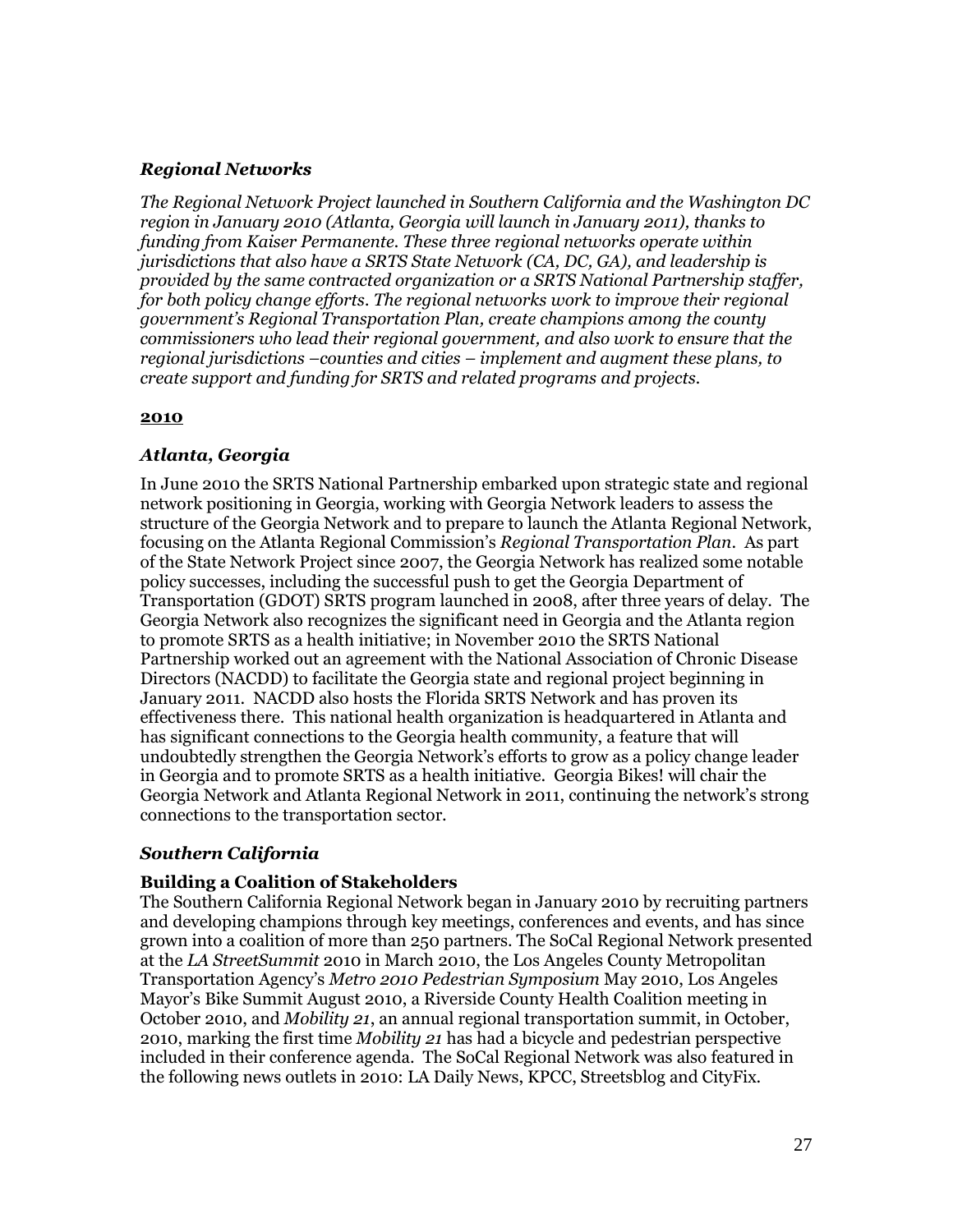### *Regional Networks*

*The Regional Network Project launched in Southern California and the Washington DC region in January 2010 (Atlanta, Georgia will launch in January 2011), thanks to funding from Kaiser Permanente. These three regional networks operate within jurisdictions that also have a SRTS State Network (CA, DC, GA), and leadership is provided by the same contracted organization or a SRTS National Partnership staffer, for both policy change efforts. The regional networks work to improve their regional government's Regional Transportation Plan, create champions among the county commissioners who lead their regional government, and also work to ensure that the regional jurisdictions –counties and cities – implement and augment these plans, to create support and funding for SRTS and related programs and projects.*

### **2010**

### *Atlanta, Georgia*

In June 2010 the SRTS National Partnership embarked upon strategic state and regional network positioning in Georgia, working with Georgia Network leaders to assess the structure of the Georgia Network and to prepare to launch the Atlanta Regional Network, focusing on the Atlanta Regional Commission"s *Regional Transportation Plan*. As part of the State Network Project since 2007, the Georgia Network has realized some notable policy successes, including the successful push to get the Georgia Department of Transportation (GDOT) SRTS program launched in 2008, after three years of delay. The Georgia Network also recognizes the significant need in Georgia and the Atlanta region to promote SRTS as a health initiative; in November 2010 the SRTS National Partnership worked out an agreement with the National Association of Chronic Disease Directors (NACDD) to facilitate the Georgia state and regional project beginning in January 2011. NACDD also hosts the Florida SRTS Network and has proven its effectiveness there. This national health organization is headquartered in Atlanta and has significant connections to the Georgia health community, a feature that will undoubtedly strengthen the Georgia Network"s efforts to grow as a policy change leader in Georgia and to promote SRTS as a health initiative. Georgia Bikes! will chair the Georgia Network and Atlanta Regional Network in 2011, continuing the network"s strong connections to the transportation sector.

### *Southern California*

### **Building a Coalition of Stakeholders**

The Southern California Regional Network began in January 2010 by recruiting partners and developing champions through key meetings, conferences and events, and has since grown into a coalition of more than 250 partners. The SoCal Regional Network presented at the *LA StreetSummit* 2010 in March 2010, the Los Angeles County Metropolitan Transportation Agency"s *Metro 2010 Pedestrian Symposium* May 2010, Los Angeles Mayor"s Bike Summit August 2010, a Riverside County Health Coalition meeting in October 2010, and *Mobility 21*, an annual regional transportation summit, in October, 2010, marking the first time *Mobility 21* has had a bicycle and pedestrian perspective included in their conference agenda. The SoCal Regional Network was also featured in the following news outlets in 2010: LA Daily News, KPCC, Streetsblog and CityFix.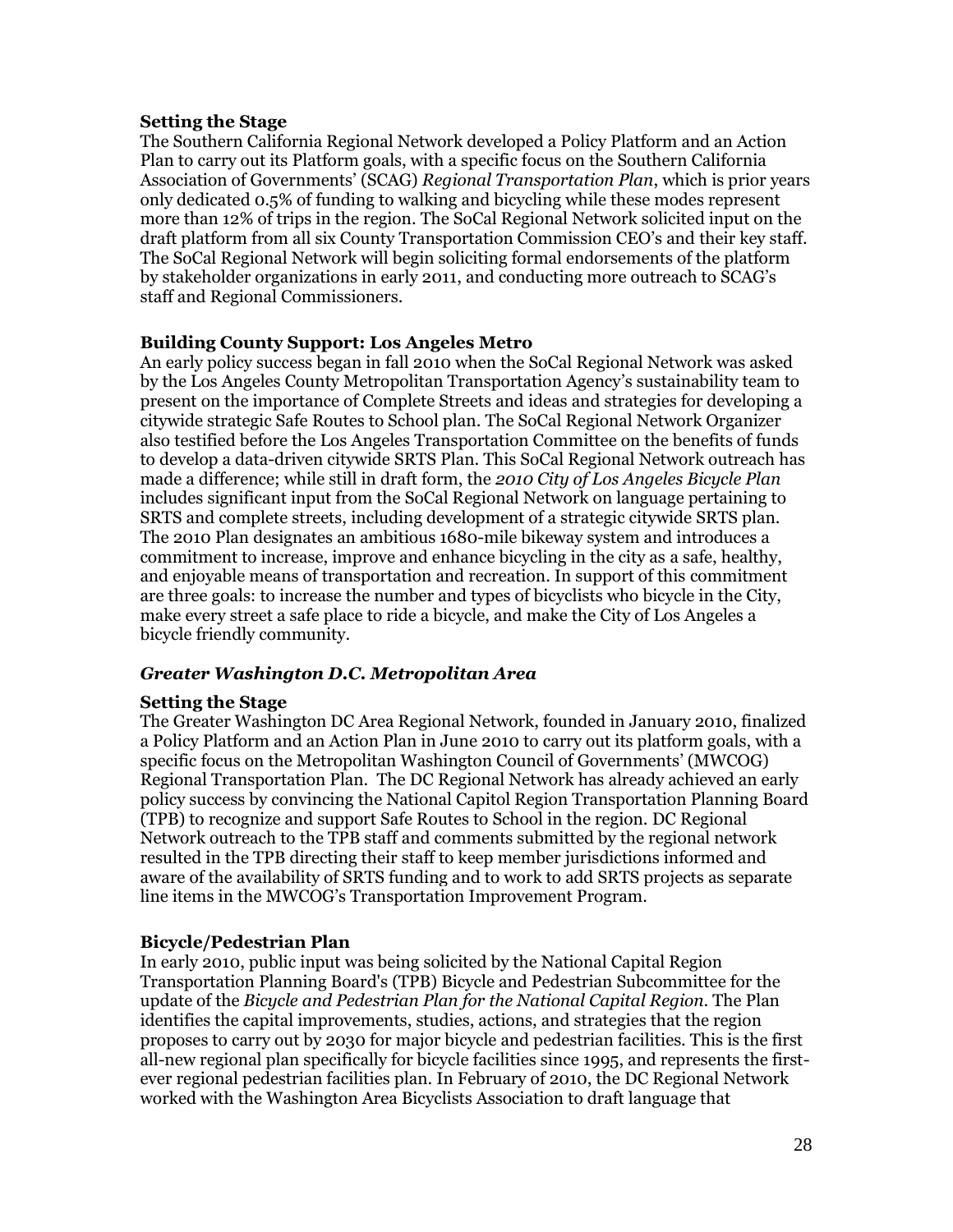### **Setting the Stage**

The Southern California Regional Network developed a Policy Platform and an Action Plan to carry out its Platform goals, with a specific focus on the Southern California Association of Governments" (SCAG) *Regional Transportation Plan*, which is prior years only dedicated 0.5% of funding to walking and bicycling while these modes represent more than 12% of trips in the region. The SoCal Regional Network solicited input on the draft platform from all six County Transportation Commission CEO"s and their key staff. The SoCal Regional Network will begin soliciting formal endorsements of the platform by stakeholder organizations in early 2011, and conducting more outreach to SCAG"s staff and Regional Commissioners.

### **Building County Support: Los Angeles Metro**

An early policy success began in fall 2010 when the SoCal Regional Network was asked by the Los Angeles County Metropolitan Transportation Agency"s sustainability team to present on the importance of Complete Streets and ideas and strategies for developing a citywide strategic Safe Routes to School plan. The SoCal Regional Network Organizer also testified before the Los Angeles Transportation Committee on the benefits of funds to develop a data-driven citywide SRTS Plan. This SoCal Regional Network outreach has made a difference; while still in draft form, the *2010 City of Los Angeles Bicycle Plan* includes significant input from the SoCal Regional Network on language pertaining to SRTS and complete streets, including development of a strategic citywide SRTS plan. The 2010 Plan designates an ambitious 1680-mile bikeway system and introduces a commitment to increase, improve and enhance bicycling in the city as a safe, healthy, and enjoyable means of transportation and recreation. In support of this commitment are three goals: to increase the number and types of bicyclists who bicycle in the City, make every street a safe place to ride a bicycle, and make the City of Los Angeles a bicycle friendly community.

### *Greater Washington D.C. Metropolitan Area*

### **Setting the Stage**

The Greater Washington DC Area Regional Network, founded in January 2010, finalized a Policy Platform and an Action Plan in June 2010 to carry out its platform goals, with a specific focus on the Metropolitan Washington Council of Governments' (MWCOG) Regional Transportation Plan. The DC Regional Network has already achieved an early policy success by convincing the National Capitol Region Transportation Planning Board (TPB) to recognize and support Safe Routes to School in the region. DC Regional Network outreach to the TPB staff and comments submitted by the regional network resulted in the TPB directing their staff to keep member jurisdictions informed and aware of the availability of SRTS funding and to work to add SRTS projects as separate line items in the MWCOG"s Transportation Improvement Program.

# **Bicycle/Pedestrian Plan**

In early 2010, public input was being solicited by the National Capital Region Transportation Planning Board's (TPB) Bicycle and Pedestrian Subcommittee for the update of the *Bicycle and Pedestrian Plan for the National Capital Region*. The Plan identifies the capital improvements, studies, actions, and strategies that the region proposes to carry out by 2030 for major bicycle and pedestrian facilities. This is the first all-new regional plan specifically for bicycle facilities since 1995, and represents the firstever regional pedestrian facilities plan. In February of 2010, the DC Regional Network worked with the Washington Area Bicyclists Association to draft language that